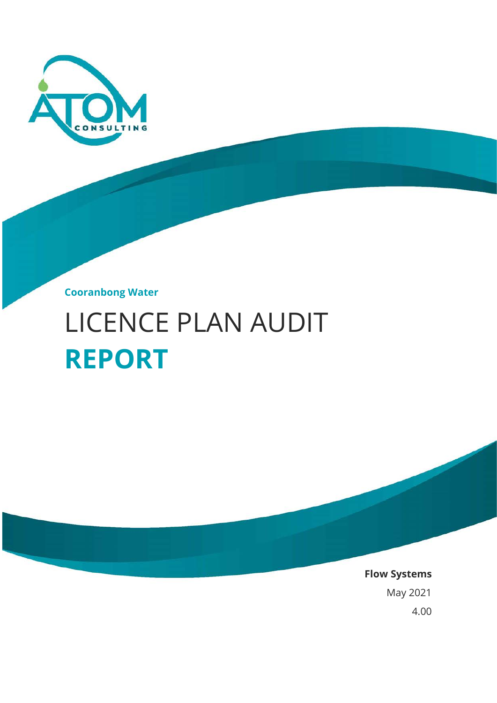

**Cooranbong Water**

# LICENCE PLAN AUDIT **REPORT**

**Flow Systems** May 2021 4.00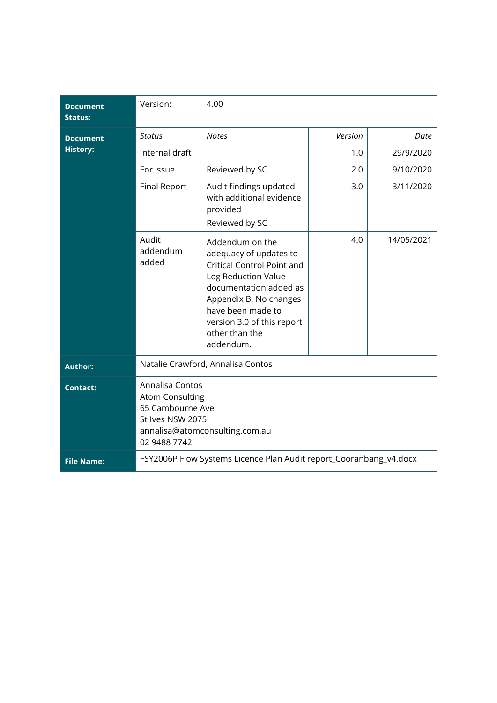| <b>Document</b><br><b>Status:</b> | Version:                                                                                                                            | 4.00                                                                                                                                                                                                                                 |         |            |
|-----------------------------------|-------------------------------------------------------------------------------------------------------------------------------------|--------------------------------------------------------------------------------------------------------------------------------------------------------------------------------------------------------------------------------------|---------|------------|
| <b>Document</b>                   | <b>Status</b>                                                                                                                       | <b>Notes</b>                                                                                                                                                                                                                         | Version | Date       |
| <b>History:</b>                   | Internal draft                                                                                                                      |                                                                                                                                                                                                                                      | 1.0     | 29/9/2020  |
|                                   | For issue                                                                                                                           | Reviewed by SC                                                                                                                                                                                                                       | 2.0     | 9/10/2020  |
|                                   | <b>Final Report</b>                                                                                                                 | Audit findings updated<br>with additional evidence<br>provided<br>Reviewed by SC                                                                                                                                                     | 3.0     | 3/11/2020  |
|                                   | Audit<br>addendum<br>added                                                                                                          | Addendum on the<br>adequacy of updates to<br>Critical Control Point and<br>Log Reduction Value<br>documentation added as<br>Appendix B. No changes<br>have been made to<br>version 3.0 of this report<br>other than the<br>addendum. | 4.0     | 14/05/2021 |
| <b>Author:</b>                    | Natalie Crawford, Annalisa Contos                                                                                                   |                                                                                                                                                                                                                                      |         |            |
| <b>Contact:</b>                   | Annalisa Contos<br><b>Atom Consulting</b><br>65 Cambourne Ave<br>St Ives NSW 2075<br>annalisa@atomconsulting.com.au<br>02 9488 7742 |                                                                                                                                                                                                                                      |         |            |
| <b>File Name:</b>                 | FSY2006P Flow Systems Licence Plan Audit report_Cooranbang_v4.docx                                                                  |                                                                                                                                                                                                                                      |         |            |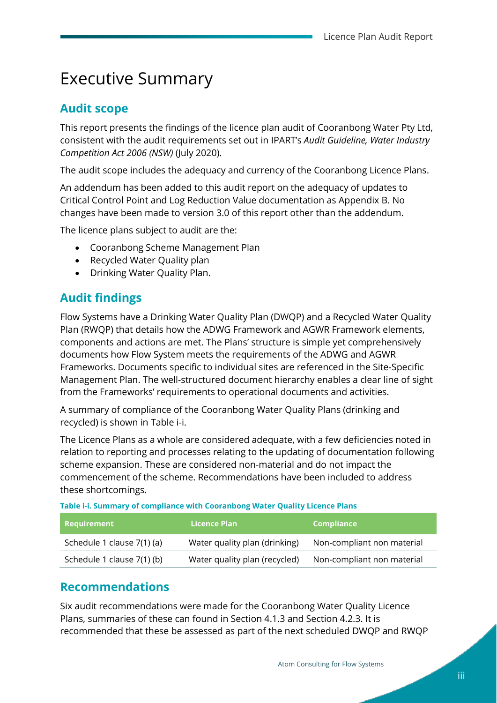## Executive Summary

### **Audit scope**

This report presents the findings of the licence plan audit of Cooranbong Water Pty Ltd, consistent with the audit requirements set out in IPART's *Audit Guideline, Water Industry Competition Act 2006 (NSW)* (July 2020).

The audit scope includes the adequacy and currency of the Cooranbong Licence Plans.

An addendum has been added to this audit report on the adequacy of updates to Critical Control Point and Log Reduction Value documentation as Appendix B. No changes have been made to version 3.0 of this report other than the addendum.

The licence plans subject to audit are the:

- Cooranbong Scheme Management Plan
- Recycled Water Quality plan
- Drinking Water Quality Plan.

### **Audit findings**

Flow Systems have a Drinking Water Quality Plan (DWQP) and a Recycled Water Quality Plan (RWQP) that details how the ADWG Framework and AGWR Framework elements, components and actions are met. The Plans' structure is simple yet comprehensively documents how Flow System meets the requirements of the ADWG and AGWR Frameworks. Documents specific to individual sites are referenced in the Site-Specific Management Plan. The well-structured document hierarchy enables a clear line of sight from the Frameworks' requirements to operational documents and activities.

A summary of compliance of the Cooranbong Water Quality Plans (drinking and recycled) is shown in [Table i-i.](#page-2-0)

The Licence Plans as a whole are considered adequate, with a few deficiencies noted in relation to reporting and processes relating to the updating of documentation following scheme expansion. These are considered non-material and do not impact the commencement of the scheme. Recommendations have been included to address these shortcomings.

<span id="page-2-0"></span>**Table i-i. Summary of compliance with Cooranbong Water Quality Licence Plans** 

| Requirement                | Licence Plan                  | <b>Compliance</b>          |
|----------------------------|-------------------------------|----------------------------|
| Schedule 1 clause 7(1) (a) | Water quality plan (drinking) | Non-compliant non material |
| Schedule 1 clause 7(1) (b) | Water quality plan (recycled) | Non-compliant non material |

### **Recommendations**

Six audit recommendations were made for the Cooranbong Water Quality Licence Plans, summaries of these can found in Sectio[n 4.1.3](#page-25-0) and Section [4.2.3.](#page-43-0) It is recommended that these be assessed as part of the next scheduled DWQP and RWQP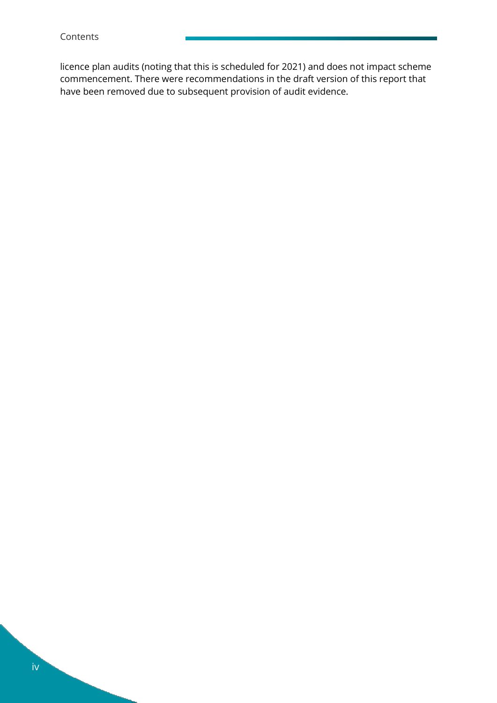licence plan audits (noting that this is scheduled for 2021) and does not impact scheme commencement. There were recommendations in the draft version of this report that have been removed due to subsequent provision of audit evidence.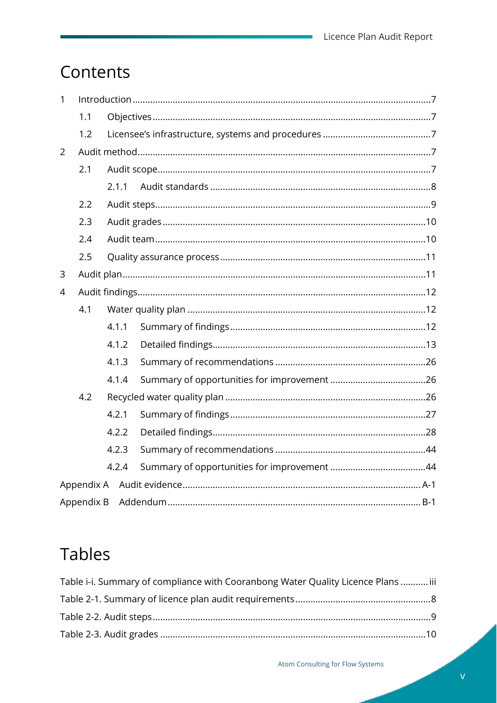Ė,

## Contents

| $\mathbf{1}$   |            |       |  |
|----------------|------------|-------|--|
|                | 1.1        |       |  |
|                | 1.2        |       |  |
| $\overline{2}$ |            |       |  |
|                | 2.1        |       |  |
|                |            | 2.1.1 |  |
|                | 2.2        |       |  |
|                | 2.3        |       |  |
|                | 2.4        |       |  |
|                | 2.5        |       |  |
| 3              |            |       |  |
| $\overline{4}$ |            |       |  |
|                | 4.1        |       |  |
|                |            | 4.1.1 |  |
|                |            | 4.1.2 |  |
|                |            | 4.1.3 |  |
|                |            | 4.1.4 |  |
|                | 4.2        |       |  |
|                |            | 4.2.1 |  |
|                |            | 4.2.2 |  |
|                |            | 4.2.3 |  |
|                |            | 4.2.4 |  |
|                | Appendix A |       |  |
|                | Appendix B |       |  |

## **Tables**

| Table i-i. Summary of compliance with Cooranbong Water Quality Licence Plans  iii |  |
|-----------------------------------------------------------------------------------|--|
|                                                                                   |  |
|                                                                                   |  |
|                                                                                   |  |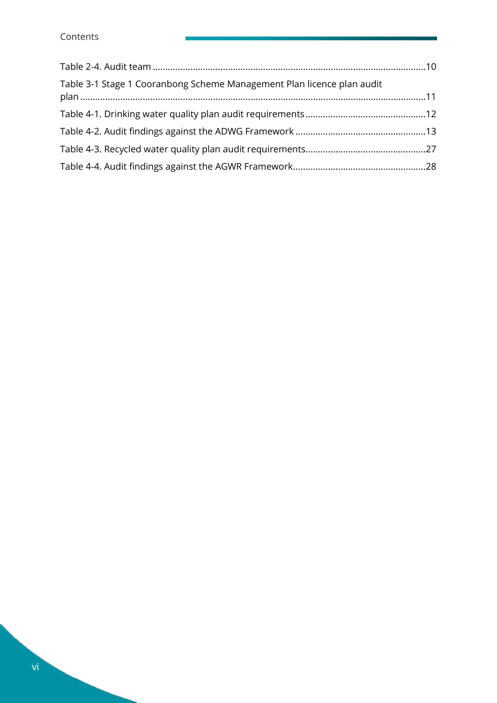| Table 3-1 Stage 1 Cooranbong Scheme Management Plan licence plan audit |  |
|------------------------------------------------------------------------|--|
|                                                                        |  |
|                                                                        |  |
|                                                                        |  |
|                                                                        |  |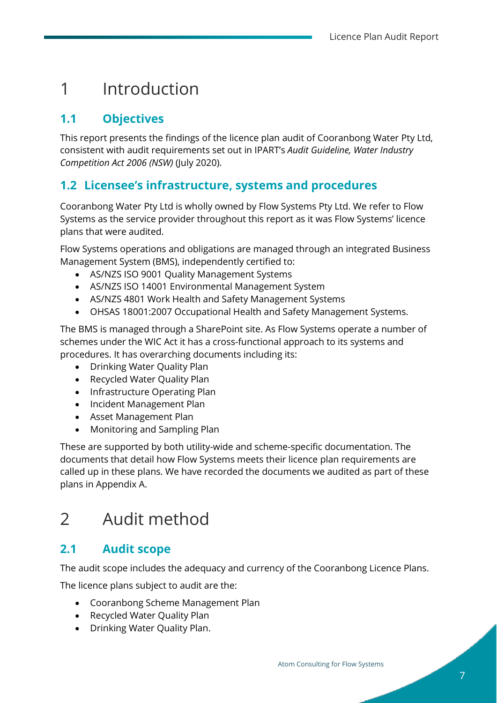## <span id="page-6-0"></span>1 Introduction

## <span id="page-6-1"></span>**1.1 Objectives**

This report presents the findings of the licence plan audit of Cooranbong Water Pty Ltd, consistent with audit requirements set out in IPART's *Audit Guideline, Water Industry Competition Act 2006 (NSW)* (July 2020).

## <span id="page-6-2"></span>**1.2 Licensee's infrastructure, systems and procedures**

Cooranbong Water Pty Ltd is wholly owned by Flow Systems Pty Ltd. We refer to Flow Systems as the service provider throughout this report as it was Flow Systems' licence plans that were audited.

Flow Systems operations and obligations are managed through an integrated Business Management System (BMS), independently certified to:

- AS/NZS ISO 9001 Quality Management Systems
- AS/NZS ISO 14001 Environmental Management System
- AS/NZS 4801 Work Health and Safety Management Systems
- OHSAS 18001:2007 Occupational Health and Safety Management Systems.

The BMS is managed through a SharePoint site. As Flow Systems operate a number of schemes under the WIC Act it has a cross-functional approach to its systems and procedures. It has overarching documents including its:

- Drinking Water Quality Plan
- Recycled Water Quality Plan
- Infrastructure Operating Plan
- Incident Management Plan
- Asset Management Plan
- Monitoring and Sampling Plan

These are supported by both utility-wide and scheme-specific documentation. The documents that detail how Flow Systems meets their licence plan requirements are called up in these plans. We have recorded the documents we audited as part of these plans in Appendix A.

## <span id="page-6-3"></span>2 Audit method

## <span id="page-6-4"></span>**2.1 Audit scope**

The audit scope includes the adequacy and currency of the Cooranbong Licence Plans.

The licence plans subject to audit are the:

- Cooranbong Scheme Management Plan
- Recycled Water Quality Plan
- Drinking Water Quality Plan.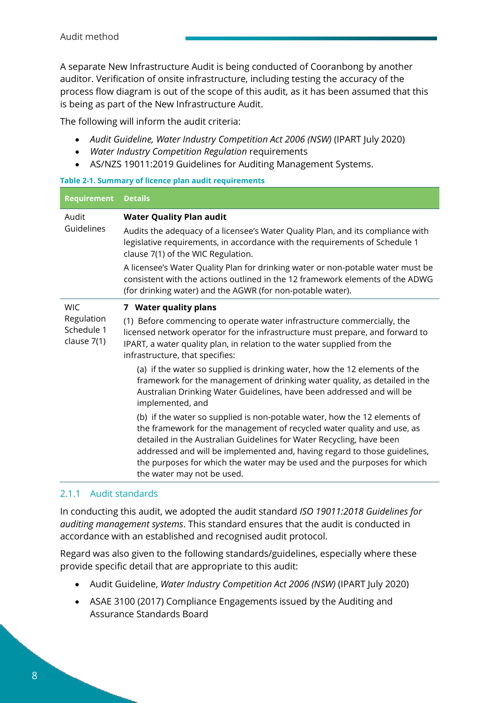A separate New Infrastructure Audit is being conducted of Cooranbong by another auditor. Verification of onsite infrastructure, including testing the accuracy of the process flow diagram is out of the scope of this audit, as it has been assumed that this is being as part of the New Infrastructure Audit.

The following will inform the audit criteria:

- Audit Guideline, Water Industry Competition Act 2006 (NSW) (IPART July 2020)
- *Water Industry Competition Regulation* requirements
- AS/NZS 19011:2019 Guidelines for Auditing Management Systems.

#### **Table 2-1. Summary of licence plan audit requirements**

| <b>Requirement</b>                      | <b>Details</b>                                                                                                                                                                                                                                                                                                                                                                                                    |  |
|-----------------------------------------|-------------------------------------------------------------------------------------------------------------------------------------------------------------------------------------------------------------------------------------------------------------------------------------------------------------------------------------------------------------------------------------------------------------------|--|
| Audit                                   | <b>Water Quality Plan audit</b>                                                                                                                                                                                                                                                                                                                                                                                   |  |
| Guidelines                              | Audits the adequacy of a licensee's Water Quality Plan, and its compliance with<br>legislative requirements, in accordance with the requirements of Schedule 1<br>clause 7(1) of the WIC Regulation.                                                                                                                                                                                                              |  |
|                                         | A licensee's Water Quality Plan for drinking water or non-potable water must be<br>consistent with the actions outlined in the 12 framework elements of the ADWG<br>(for drinking water) and the AGWR (for non-potable water).                                                                                                                                                                                    |  |
| <b>WIC</b>                              | 7 Water quality plans                                                                                                                                                                                                                                                                                                                                                                                             |  |
| Regulation<br>Schedule 1<br>clause 7(1) | (1) Before commencing to operate water infrastructure commercially, the<br>licensed network operator for the infrastructure must prepare, and forward to<br>IPART, a water quality plan, in relation to the water supplied from the<br>infrastructure, that specifies:                                                                                                                                            |  |
|                                         | (a) if the water so supplied is drinking water, how the 12 elements of the<br>framework for the management of drinking water quality, as detailed in the<br>Australian Drinking Water Guidelines, have been addressed and will be<br>implemented, and                                                                                                                                                             |  |
|                                         | (b) if the water so supplied is non-potable water, how the 12 elements of<br>the framework for the management of recycled water quality and use, as<br>detailed in the Australian Guidelines for Water Recycling, have been<br>addressed and will be implemented and, having regard to those guidelines,<br>the purposes for which the water may be used and the purposes for which<br>the water may not be used. |  |

#### <span id="page-7-0"></span>2.1.1 Audit standards

In conducting this audit, we adopted the audit standard *ISO 19011:2018 Guidelines for auditing management systems*. This standard ensures that the audit is conducted in accordance with an established and recognised audit protocol.

Regard was also given to the following standards/guidelines, especially where these provide specific detail that are appropriate to this audit:

- Audit Guideline, *Water Industry Competition Act 2006 (NSW)* (IPART July 2020)
- ASAE 3100 (2017) Compliance Engagements issued by the Auditing and Assurance Standards Board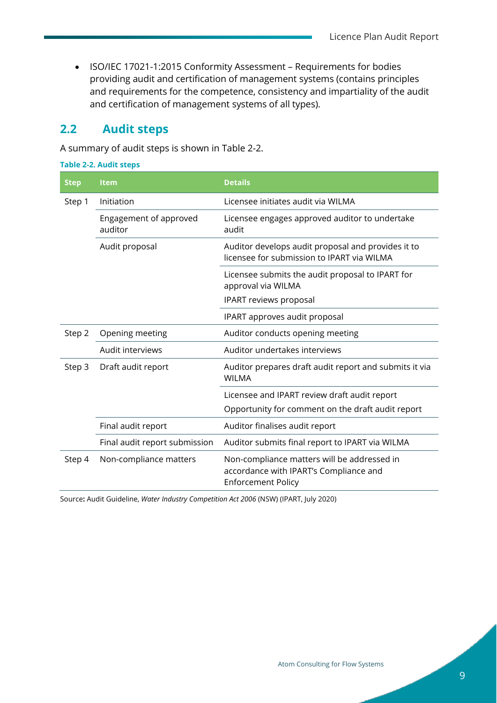• ISO/IEC 17021-1:2015 Conformity Assessment – Requirements for bodies providing audit and certification of management systems (contains principles and requirements for the competence, consistency and impartiality of the audit and certification of management systems of all types).

## <span id="page-8-0"></span>**2.2 Audit steps**

A summary of audit steps is shown in [Table 2-2.](#page-8-1)

<span id="page-8-1"></span>

| <b>Table 2-2. Audit steps</b>     |                                                                                                                    |
|-----------------------------------|--------------------------------------------------------------------------------------------------------------------|
| <b>Item</b>                       | <b>Details</b>                                                                                                     |
| Initiation                        | Licensee initiates audit via WILMA                                                                                 |
| Engagement of approved<br>auditor | Licensee engages approved auditor to undertake<br>audit                                                            |
| Audit proposal                    | Auditor develops audit proposal and provides it to<br>licensee for submission to IPART via WILMA                   |
|                                   | Licensee submits the audit proposal to IPART for<br>approval via WILMA                                             |
|                                   | IPART reviews proposal                                                                                             |
|                                   | IPART approves audit proposal                                                                                      |
| Opening meeting                   | Auditor conducts opening meeting                                                                                   |
| Audit interviews                  | Auditor undertakes interviews                                                                                      |
| Draft audit report                | Auditor prepares draft audit report and submits it via<br><b>WILMA</b>                                             |
|                                   | Licensee and IPART review draft audit report                                                                       |
|                                   | Opportunity for comment on the draft audit report                                                                  |
| Final audit report                | Auditor finalises audit report                                                                                     |
| Final audit report submission     | Auditor submits final report to IPART via WILMA                                                                    |
| Non-compliance matters            | Non-compliance matters will be addressed in<br>accordance with IPART's Compliance and<br><b>Enforcement Policy</b> |
|                                   |                                                                                                                    |

Source**:** Audit Guideline, *Water Industry Competition Act 2006* (NSW) (IPART, July 2020)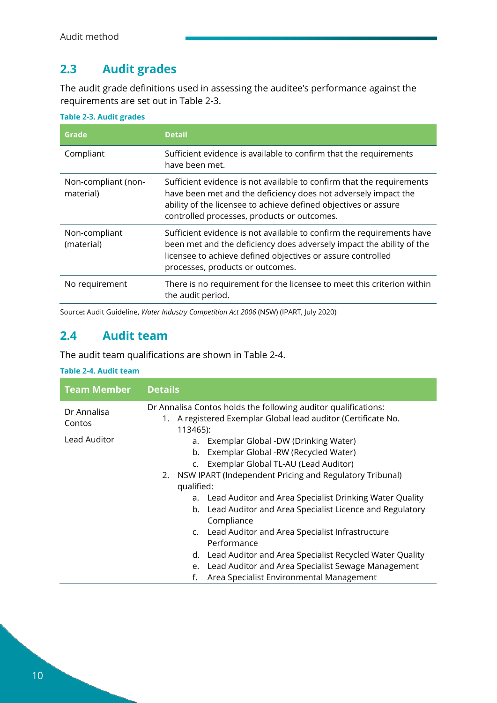## <span id="page-9-0"></span>**2.3 Audit grades**

The audit grade definitions used in assessing the auditee's performance against the requirements are set out in [Table 2-3.](#page-9-2)

| Grade                            | <b>Detail</b>                                                                                                                                                                                                                                             |
|----------------------------------|-----------------------------------------------------------------------------------------------------------------------------------------------------------------------------------------------------------------------------------------------------------|
| Compliant                        | Sufficient evidence is available to confirm that the requirements<br>have been met.                                                                                                                                                                       |
| Non-compliant (non-<br>material) | Sufficient evidence is not available to confirm that the requirements<br>have been met and the deficiency does not adversely impact the<br>ability of the licensee to achieve defined objectives or assure<br>controlled processes, products or outcomes. |
| Non-compliant<br>(material)      | Sufficient evidence is not available to confirm the requirements have<br>been met and the deficiency does adversely impact the ability of the<br>licensee to achieve defined objectives or assure controlled<br>processes, products or outcomes.          |
| No requirement                   | There is no requirement for the licensee to meet this criterion within<br>the audit period.                                                                                                                                                               |

<span id="page-9-2"></span>**Table 2-3. Audit grades**

Source**:** Audit Guideline, *Water Industry Competition Act 2006* (NSW) (IPART, July 2020)

### <span id="page-9-1"></span>**2.4 Audit team**

The audit team qualifications are shown in [Table 2-4.](#page-9-3)

#### <span id="page-9-3"></span>**Table 2-4. Audit team**

| <b>Team Member</b>    | <b>Details</b>                                                                                                                                                 |  |
|-----------------------|----------------------------------------------------------------------------------------------------------------------------------------------------------------|--|
| Dr Annalisa<br>Contos | Dr Annalisa Contos holds the following auditor qualifications:<br>1. A registered Exemplar Global lead auditor (Certificate No.                                |  |
| Lead Auditor          | 113465):<br>Exemplar Global -DW (Drinking Water)<br>a.<br>Exemplar Global -RW (Recycled Water)<br>b.<br>Exemplar Global TL-AU (Lead Auditor)<br>$\mathsf{C}$ . |  |
|                       | 2. NSW IPART (Independent Pricing and Regulatory Tribunal)<br>qualified:                                                                                       |  |
|                       | Lead Auditor and Area Specialist Drinking Water Quality<br>a.<br>b. Lead Auditor and Area Specialist Licence and Regulatory<br>Compliance                      |  |
|                       | c. Lead Auditor and Area Specialist Infrastructure<br>Performance                                                                                              |  |
|                       | d. Lead Auditor and Area Specialist Recycled Water Quality<br>Lead Auditor and Area Specialist Sewage Management                                               |  |
|                       | e.<br>Area Specialist Environmental Management<br>f.                                                                                                           |  |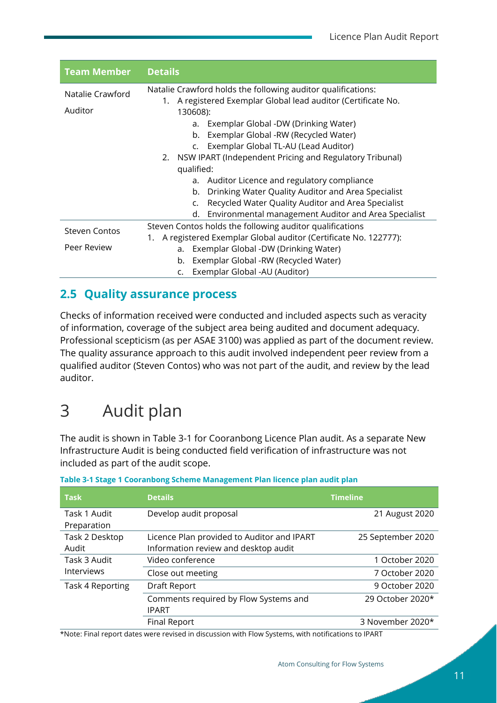| <b>Team Member</b>   | <b>Details</b>                                                            |  |
|----------------------|---------------------------------------------------------------------------|--|
| Natalie Crawford     | Natalie Crawford holds the following auditor qualifications:              |  |
| Auditor              | 1. A registered Exemplar Global lead auditor (Certificate No.<br>130608): |  |
|                      | Exemplar Global -DW (Drinking Water)<br>a.                                |  |
|                      | Exemplar Global -RW (Recycled Water)<br>b.                                |  |
|                      | Exemplar Global TL-AU (Lead Auditor)<br>$\mathsf{C}$ .                    |  |
|                      | NSW IPART (Independent Pricing and Regulatory Tribunal)<br>2.             |  |
|                      | qualified:                                                                |  |
|                      | Auditor Licence and regulatory compliance<br>a.                           |  |
|                      | Drinking Water Quality Auditor and Area Specialist<br>b.                  |  |
|                      | Recycled Water Quality Auditor and Area Specialist<br>c.                  |  |
|                      | Environmental management Auditor and Area Specialist<br>d.                |  |
| <b>Steven Contos</b> | Steven Contos holds the following auditor qualifications                  |  |
|                      | A registered Exemplar Global auditor (Certificate No. 122777):<br>1.      |  |
| Peer Review          | Exemplar Global -DW (Drinking Water)<br>a.                                |  |
|                      | Exemplar Global -RW (Recycled Water)<br>b.                                |  |
|                      | Exemplar Global -AU (Auditor)<br>C.                                       |  |

## <span id="page-10-0"></span>**2.5 Quality assurance process**

Checks of information received were conducted and included aspects such as veracity of information, coverage of the subject area being audited and document adequacy. Professional scepticism (as per ASAE 3100) was applied as part of the document review. The quality assurance approach to this audit involved independent peer review from a qualified auditor (Steven Contos) who was not part of the audit, and review by the lead auditor.

## <span id="page-10-1"></span>3 Audit plan

The audit is shown in [Table 3-1](#page-10-2) for Cooranbong Licence Plan audit. As a separate New Infrastructure Audit is being conducted field verification of infrastructure was not included as part of the audit scope.

| <b>Task</b>       | <b>Details</b>                             | <b>Timeline</b>   |
|-------------------|--------------------------------------------|-------------------|
| Task 1 Audit      | Develop audit proposal                     | 21 August 2020    |
| Preparation       |                                            |                   |
| Task 2 Desktop    | Licence Plan provided to Auditor and IPART | 25 September 2020 |
| Audit             | Information review and desktop audit       |                   |
| Task 3 Audit      | Video conference                           | 1 October 2020    |
| <b>Interviews</b> | Close out meeting                          | 7 October 2020    |
| Task 4 Reporting  | Draft Report                               | 9 October 2020    |
|                   | Comments required by Flow Systems and      | 29 October 2020*  |
|                   | <b>IPART</b>                               |                   |
|                   | <b>Final Report</b>                        | 3 November 2020*  |

<span id="page-10-2"></span>

| Table 3-1 Stage 1 Cooranbong Scheme Management Plan licence plan audit plan |  |  |  |  |
|-----------------------------------------------------------------------------|--|--|--|--|
|-----------------------------------------------------------------------------|--|--|--|--|

\*Note: Final report dates were revised in discussion with Flow Systems, with notifications to IPART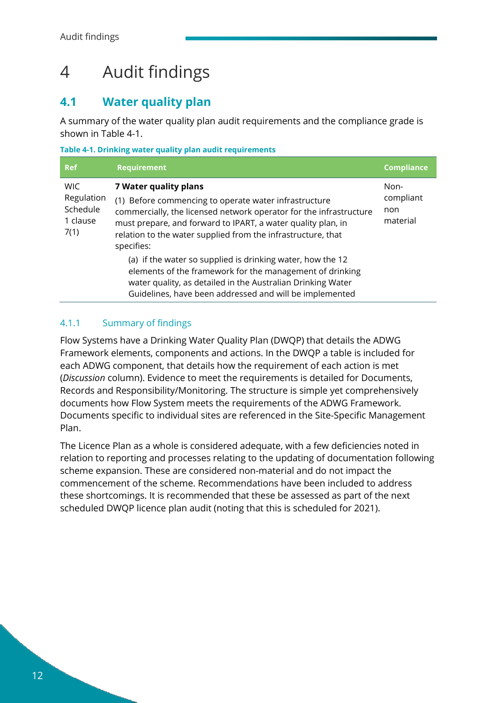## <span id="page-11-0"></span>4 Audit findings

## <span id="page-11-1"></span>**4.1 Water quality plan**

A summary of the water quality plan audit requirements and the compliance grade is shown in [Table 4-1.](#page-11-3)

<span id="page-11-3"></span>**Table 4-1. Drinking water quality plan audit requirements**

| <b>Ref</b>                                               | <b>Requirement</b>                                                                                                                                                                                                                                                                                 | <b>Compliance</b>                    |
|----------------------------------------------------------|----------------------------------------------------------------------------------------------------------------------------------------------------------------------------------------------------------------------------------------------------------------------------------------------------|--------------------------------------|
| <b>WIC</b><br>Regulation<br>Schedule<br>1 clause<br>7(1) | 7 Water quality plans<br>(1) Before commencing to operate water infrastructure<br>commercially, the licensed network operator for the infrastructure<br>must prepare, and forward to IPART, a water quality plan, in<br>relation to the water supplied from the infrastructure, that<br>specifies: | Non-<br>compliant<br>non<br>material |
|                                                          | (a) if the water so supplied is drinking water, how the 12<br>elements of the framework for the management of drinking<br>water quality, as detailed in the Australian Drinking Water<br>Guidelines, have been addressed and will be implemented                                                   |                                      |

### <span id="page-11-2"></span>4.1.1 Summary of findings

Flow Systems have a Drinking Water Quality Plan (DWQP) that details the ADWG Framework elements, components and actions. In the DWQP a table is included for each ADWG component, that details how the requirement of each action is met (*Discussion* column). Evidence to meet the requirements is detailed for Documents, Records and Responsibility/Monitoring. The structure is simple yet comprehensively documents how Flow System meets the requirements of the ADWG Framework. Documents specific to individual sites are referenced in the Site-Specific Management Plan.

The Licence Plan as a whole is considered adequate, with a few deficiencies noted in relation to reporting and processes relating to the updating of documentation following scheme expansion. These are considered non-material and do not impact the commencement of the scheme. Recommendations have been included to address these shortcomings. It is recommended that these be assessed as part of the next scheduled DWQP licence plan audit (noting that this is scheduled for 2021).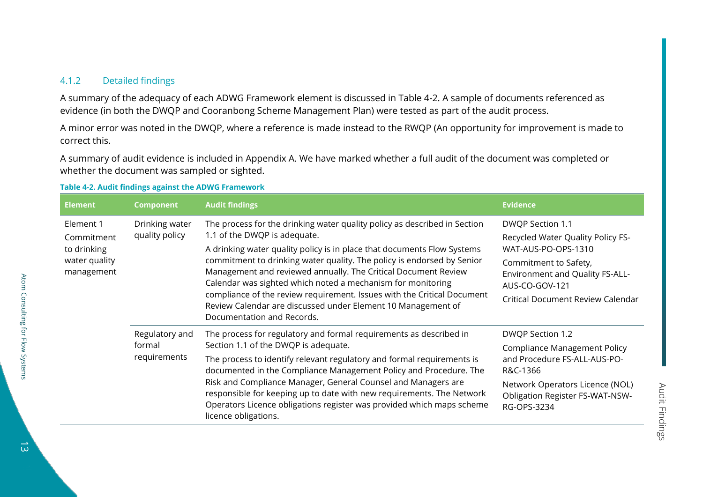#### 4.1.2 Detailed findings

A summary of the adequacy of each ADWG Framework element is discussed in [Table 4-2.](#page-12-1) A sample of documents referenced as evidence (in both the DWQP and Cooranbong Scheme Management Plan) were tested as part of the audit process.

A minor error was noted in the DWQP, where a reference is made instead to the RWQP (An opportunity for improvement is made to correct this.

A summary of audit evidence is included in [Appendix A.](#page-44-1) We have marked whether a full audit of the document was completed or whether the document was sampled or sighted.

#### <span id="page-12-1"></span>**Table 4-2. Audit findings against the ADWG Framework**

| <b>Element</b>                                                        | <b>Component</b>                         | <b>Audit findings</b>                                                                                                                                                                                                                                                                                                                                                                                                                                                                                                                                                    | <b>Evidence</b>                                                                                                                                                                                        |
|-----------------------------------------------------------------------|------------------------------------------|--------------------------------------------------------------------------------------------------------------------------------------------------------------------------------------------------------------------------------------------------------------------------------------------------------------------------------------------------------------------------------------------------------------------------------------------------------------------------------------------------------------------------------------------------------------------------|--------------------------------------------------------------------------------------------------------------------------------------------------------------------------------------------------------|
| Element 1<br>Commitment<br>to drinking<br>water quality<br>management | Drinking water<br>quality policy         | The process for the drinking water quality policy as described in Section<br>1.1 of the DWQP is adequate.<br>A drinking water quality policy is in place that documents Flow Systems<br>commitment to drinking water quality. The policy is endorsed by Senior<br>Management and reviewed annually. The Critical Document Review<br>Calendar was sighted which noted a mechanism for monitoring<br>compliance of the review requirement. Issues with the Critical Document<br>Review Calendar are discussed under Element 10 Management of<br>Documentation and Records. | DWQP Section 1.1<br>Recycled Water Quality Policy FS-<br>WAT-AUS-PO-OPS-1310<br>Commitment to Safety,<br><b>Environment and Quality FS-ALL-</b><br>AUS-CO-GOV-121<br>Critical Document Review Calendar |
|                                                                       | Regulatory and<br>formal<br>requirements | The process for regulatory and formal requirements as described in<br>Section 1.1 of the DWQP is adequate.<br>The process to identify relevant regulatory and formal requirements is<br>documented in the Compliance Management Policy and Procedure. The<br>Risk and Compliance Manager, General Counsel and Managers are<br>responsible for keeping up to date with new requirements. The Network<br>Operators Licence obligations register was provided which maps scheme<br>licence obligations.                                                                     | DWQP Section 1.2<br><b>Compliance Management Policy</b><br>and Procedure FS-ALL-AUS-PO-<br>R&C-1366<br>Network Operators Licence (NOL)<br><b>Obligation Register FS-WAT-NSW-</b><br>RG-OPS-3234        |

<span id="page-12-0"></span>Atom Consulting for Flow Systems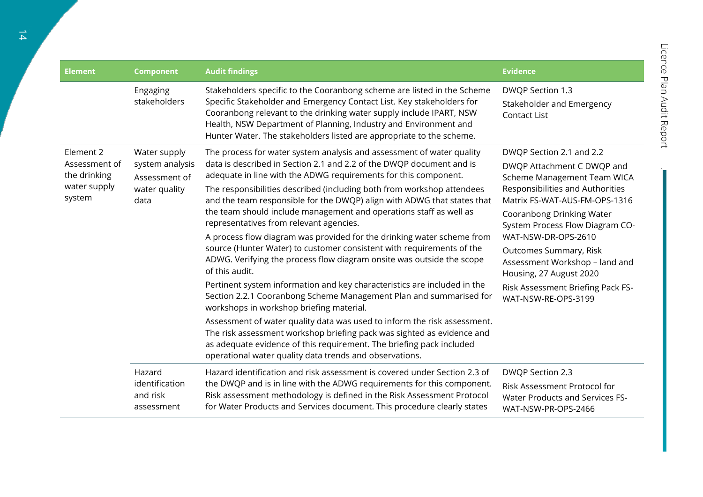.<br>Т

| <b>Element</b>                                                       | <b>Component</b>                                                          | <b>Audit findings</b>                                                                                                                                                                                                                                                                                                                                                                                                                                                                                                                                                                                                                                                                                                                                                                                                                                                                                                                                                                                                                                                                                                                                                                                                       | <b>Evidence</b>                                                                                                                                                                                                                                                                                                                                                                                      |
|----------------------------------------------------------------------|---------------------------------------------------------------------------|-----------------------------------------------------------------------------------------------------------------------------------------------------------------------------------------------------------------------------------------------------------------------------------------------------------------------------------------------------------------------------------------------------------------------------------------------------------------------------------------------------------------------------------------------------------------------------------------------------------------------------------------------------------------------------------------------------------------------------------------------------------------------------------------------------------------------------------------------------------------------------------------------------------------------------------------------------------------------------------------------------------------------------------------------------------------------------------------------------------------------------------------------------------------------------------------------------------------------------|------------------------------------------------------------------------------------------------------------------------------------------------------------------------------------------------------------------------------------------------------------------------------------------------------------------------------------------------------------------------------------------------------|
|                                                                      | Engaging<br>stakeholders                                                  | Stakeholders specific to the Cooranbong scheme are listed in the Scheme<br>Specific Stakeholder and Emergency Contact List. Key stakeholders for<br>Cooranbong relevant to the drinking water supply include IPART, NSW<br>Health, NSW Department of Planning, Industry and Environment and<br>Hunter Water. The stakeholders listed are appropriate to the scheme.                                                                                                                                                                                                                                                                                                                                                                                                                                                                                                                                                                                                                                                                                                                                                                                                                                                         | DWQP Section 1.3<br>Stakeholder and Emergency<br><b>Contact List</b>                                                                                                                                                                                                                                                                                                                                 |
| Element 2<br>Assessment of<br>the drinking<br>water supply<br>system | Water supply<br>system analysis<br>Assessment of<br>water quality<br>data | The process for water system analysis and assessment of water quality<br>data is described in Section 2.1 and 2.2 of the DWQP document and is<br>adequate in line with the ADWG requirements for this component.<br>The responsibilities described (including both from workshop attendees<br>and the team responsible for the DWQP) align with ADWG that states that<br>the team should include management and operations staff as well as<br>representatives from relevant agencies.<br>A process flow diagram was provided for the drinking water scheme from<br>source (Hunter Water) to customer consistent with requirements of the<br>ADWG. Verifying the process flow diagram onsite was outside the scope<br>of this audit.<br>Pertinent system information and key characteristics are included in the<br>Section 2.2.1 Cooranbong Scheme Management Plan and summarised for<br>workshops in workshop briefing material.<br>Assessment of water quality data was used to inform the risk assessment.<br>The risk assessment workshop briefing pack was sighted as evidence and<br>as adequate evidence of this requirement. The briefing pack included<br>operational water quality data trends and observations. | DWQP Section 2.1 and 2.2<br>DWQP Attachment C DWQP and<br>Scheme Management Team WICA<br>Responsibilities and Authorities<br>Matrix FS-WAT-AUS-FM-OPS-1316<br>Cooranbong Drinking Water<br>System Process Flow Diagram CO-<br>WAT-NSW-DR-OPS-2610<br>Outcomes Summary, Risk<br>Assessment Workshop - land and<br>Housing, 27 August 2020<br>Risk Assessment Briefing Pack FS-<br>WAT-NSW-RE-OPS-3199 |
|                                                                      | Hazard<br>identification<br>and risk<br>assessment                        | Hazard identification and risk assessment is covered under Section 2.3 of<br>the DWQP and is in line with the ADWG requirements for this component.<br>Risk assessment methodology is defined in the Risk Assessment Protocol<br>for Water Products and Services document. This procedure clearly states                                                                                                                                                                                                                                                                                                                                                                                                                                                                                                                                                                                                                                                                                                                                                                                                                                                                                                                    | DWQP Section 2.3<br>Risk Assessment Protocol for<br><b>Water Products and Services FS-</b><br>WAT-NSW-PR-OPS-2466                                                                                                                                                                                                                                                                                    |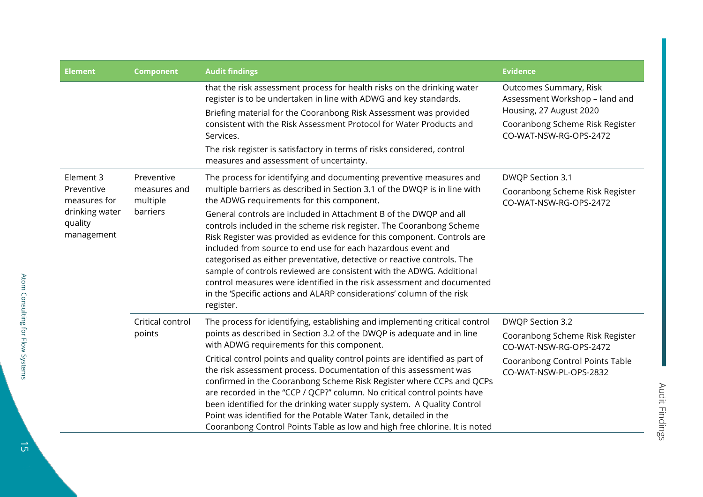| <b>Element</b>                                                                     | <b>Component</b>                                   | <b>Audit findings</b>                                                                                                                                                                                                                                                                                                                                                                                                                                                                                                                                                                                                                                                                                                                                                                                    | <b>Evidence</b>                                                                                                                                         |
|------------------------------------------------------------------------------------|----------------------------------------------------|----------------------------------------------------------------------------------------------------------------------------------------------------------------------------------------------------------------------------------------------------------------------------------------------------------------------------------------------------------------------------------------------------------------------------------------------------------------------------------------------------------------------------------------------------------------------------------------------------------------------------------------------------------------------------------------------------------------------------------------------------------------------------------------------------------|---------------------------------------------------------------------------------------------------------------------------------------------------------|
|                                                                                    |                                                    | that the risk assessment process for health risks on the drinking water<br>register is to be undertaken in line with ADWG and key standards.<br>Briefing material for the Cooranbong Risk Assessment was provided<br>consistent with the Risk Assessment Protocol for Water Products and<br>Services.<br>The risk register is satisfactory in terms of risks considered, control<br>measures and assessment of uncertainty.                                                                                                                                                                                                                                                                                                                                                                              | <b>Outcomes Summary, Risk</b><br>Assessment Workshop - land and<br>Housing, 27 August 2020<br>Cooranbong Scheme Risk Register<br>CO-WAT-NSW-RG-OPS-2472 |
| Element 3<br>Preventive<br>measures for<br>drinking water<br>quality<br>management | Preventive<br>measures and<br>multiple<br>barriers | The process for identifying and documenting preventive measures and<br>multiple barriers as described in Section 3.1 of the DWQP is in line with<br>the ADWG requirements for this component.<br>General controls are included in Attachment B of the DWQP and all<br>controls included in the scheme risk register. The Cooranbong Scheme<br>Risk Register was provided as evidence for this component. Controls are<br>included from source to end use for each hazardous event and<br>categorised as either preventative, detective or reactive controls. The<br>sample of controls reviewed are consistent with the ADWG. Additional<br>control measures were identified in the risk assessment and documented<br>in the 'Specific actions and ALARP considerations' column of the risk<br>register. | DWQP Section 3.1<br>Cooranbong Scheme Risk Register<br>CO-WAT-NSW-RG-OPS-2472                                                                           |
|                                                                                    | Critical control<br>points                         | The process for identifying, establishing and implementing critical control<br>points as described in Section 3.2 of the DWQP is adequate and in line<br>with ADWG requirements for this component.<br>Critical control points and quality control points are identified as part of<br>the risk assessment process. Documentation of this assessment was<br>confirmed in the Cooranbong Scheme Risk Register where CCPs and QCPs<br>are recorded in the "CCP / QCP?" column. No critical control points have<br>been identified for the drinking water supply system. A Quality Control<br>Point was identified for the Potable Water Tank, detailed in the<br>Cooranbong Control Points Table as low and high free chlorine. It is noted                                                                | DWQP Section 3.2<br>Cooranbong Scheme Risk Register<br>CO-WAT-NSW-RG-OPS-2472<br>Cooranbong Control Points Table<br>CO-WAT-NSW-PL-OPS-2832              |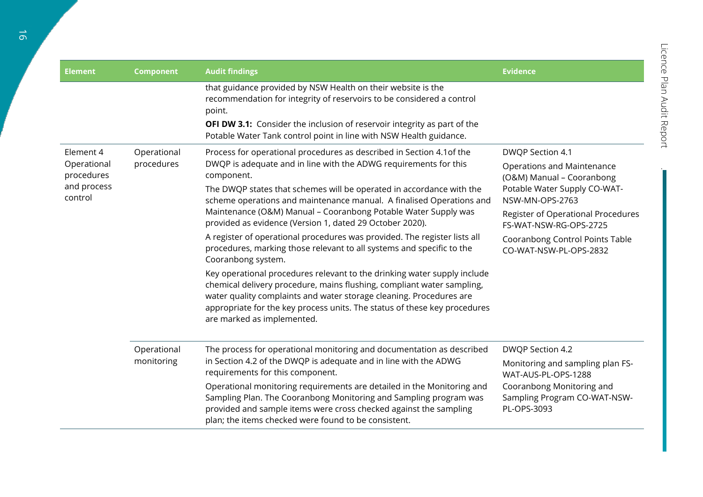| <b>Element</b>                       | <b>Component</b>          | <b>Audit findings</b>                                                                                                                                                                                                                                                                                                                | <b>Evidence</b>                                                              |
|--------------------------------------|---------------------------|--------------------------------------------------------------------------------------------------------------------------------------------------------------------------------------------------------------------------------------------------------------------------------------------------------------------------------------|------------------------------------------------------------------------------|
|                                      |                           | that guidance provided by NSW Health on their website is the<br>recommendation for integrity of reservoirs to be considered a control<br>point.<br><b>OFI DW 3.1:</b> Consider the inclusion of reservoir integrity as part of the                                                                                                   |                                                                              |
|                                      |                           | Potable Water Tank control point in line with NSW Health guidance.                                                                                                                                                                                                                                                                   |                                                                              |
| Element 4<br>Operational             | Operational<br>procedures | Process for operational procedures as described in Section 4.1 of the<br>DWQP is adequate and in line with the ADWG requirements for this                                                                                                                                                                                            | DWQP Section 4.1<br>Operations and Maintenance                               |
| procedures<br>and process<br>control |                           | component.<br>The DWQP states that schemes will be operated in accordance with the<br>scheme operations and maintenance manual. A finalised Operations and                                                                                                                                                                           | (O&M) Manual - Cooranbong<br>Potable Water Supply CO-WAT-<br>NSW-MN-OPS-2763 |
|                                      |                           | Maintenance (O&M) Manual - Cooranbong Potable Water Supply was<br>provided as evidence (Version 1, dated 29 October 2020).                                                                                                                                                                                                           | Register of Operational Procedures<br>FS-WAT-NSW-RG-OPS-2725                 |
|                                      |                           | A register of operational procedures was provided. The register lists all<br>procedures, marking those relevant to all systems and specific to the<br>Cooranbong system.                                                                                                                                                             | Cooranbong Control Points Table<br>CO-WAT-NSW-PL-OPS-2832                    |
|                                      |                           | Key operational procedures relevant to the drinking water supply include<br>chemical delivery procedure, mains flushing, compliant water sampling,<br>water quality complaints and water storage cleaning. Procedures are<br>appropriate for the key process units. The status of these key procedures<br>are marked as implemented. |                                                                              |
|                                      | Operational<br>monitoring | The process for operational monitoring and documentation as described<br>in Section 4.2 of the DWQP is adequate and in line with the ADWG<br>requirements for this component.                                                                                                                                                        | DWQP Section 4.2                                                             |
|                                      |                           |                                                                                                                                                                                                                                                                                                                                      | Monitoring and sampling plan FS-<br>WAT-AUS-PL-OPS-1288                      |
|                                      |                           | Operational monitoring requirements are detailed in the Monitoring and<br>Sampling Plan. The Cooranbong Monitoring and Sampling program was<br>provided and sample items were cross checked against the sampling<br>plan; the items checked were found to be consistent.                                                             | Cooranbong Monitoring and<br>Sampling Program CO-WAT-NSW-<br>PL-OPS-3093     |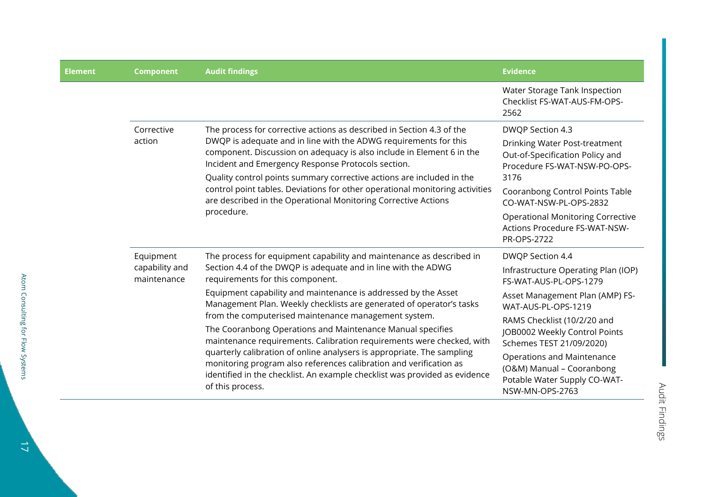| <b>Element</b> | <b>Component</b>              | <b>Audit findings</b>                                                                                                                                                                                                                                                                                                                                                                 | <b>Evidence</b>                                                                                            |
|----------------|-------------------------------|---------------------------------------------------------------------------------------------------------------------------------------------------------------------------------------------------------------------------------------------------------------------------------------------------------------------------------------------------------------------------------------|------------------------------------------------------------------------------------------------------------|
|                |                               |                                                                                                                                                                                                                                                                                                                                                                                       | Water Storage Tank Inspection<br>Checklist FS-WAT-AUS-FM-OPS-<br>2562                                      |
|                | Corrective                    | The process for corrective actions as described in Section 4.3 of the                                                                                                                                                                                                                                                                                                                 | DWQP Section 4.3                                                                                           |
| action         |                               | DWQP is adequate and in line with the ADWG requirements for this<br>component. Discussion on adequacy is also include in Element 6 in the<br>Incident and Emergency Response Protocols section.<br>Quality control points summary corrective actions are included in the                                                                                                              | Drinking Water Post-treatment<br>Out-of-Specification Policy and<br>Procedure FS-WAT-NSW-PO-OPS-<br>3176   |
|                |                               | control point tables. Deviations for other operational monitoring activities<br>are described in the Operational Monitoring Corrective Actions                                                                                                                                                                                                                                        | Cooranbong Control Points Table<br>CO-WAT-NSW-PL-OPS-2832                                                  |
|                | procedure.                    |                                                                                                                                                                                                                                                                                                                                                                                       | <b>Operational Monitoring Corrective</b><br>Actions Procedure FS-WAT-NSW-<br>PR-OPS-2722                   |
|                | Equipment                     | The process for equipment capability and maintenance as described in<br>Section 4.4 of the DWQP is adequate and in line with the ADWG<br>requirements for this component.                                                                                                                                                                                                             | DWQP Section 4.4                                                                                           |
|                | capability and<br>maintenance |                                                                                                                                                                                                                                                                                                                                                                                       | Infrastructure Operating Plan (IOP)<br>FS-WAT-AUS-PL-OPS-1279                                              |
|                |                               | Equipment capability and maintenance is addressed by the Asset<br>Management Plan. Weekly checklists are generated of operator's tasks                                                                                                                                                                                                                                                | Asset Management Plan (AMP) FS-<br>WAT-AUS-PL-OPS-1219                                                     |
|                |                               | from the computerised maintenance management system.                                                                                                                                                                                                                                                                                                                                  | RAMS Checklist (10/2/20 and                                                                                |
|                |                               | The Cooranbong Operations and Maintenance Manual specifies<br>maintenance requirements. Calibration requirements were checked, with<br>quarterly calibration of online analysers is appropriate. The sampling<br>monitoring program also references calibration and verification as<br>identified in the checklist. An example checklist was provided as evidence<br>of this process. | JOB0002 Weekly Control Points<br>Schemes TEST 21/09/2020)                                                  |
|                |                               |                                                                                                                                                                                                                                                                                                                                                                                       | Operations and Maintenance<br>(O&M) Manual - Cooranbong<br>Potable Water Supply CO-WAT-<br>NSW-MN-OPS-2763 |

Audit Findings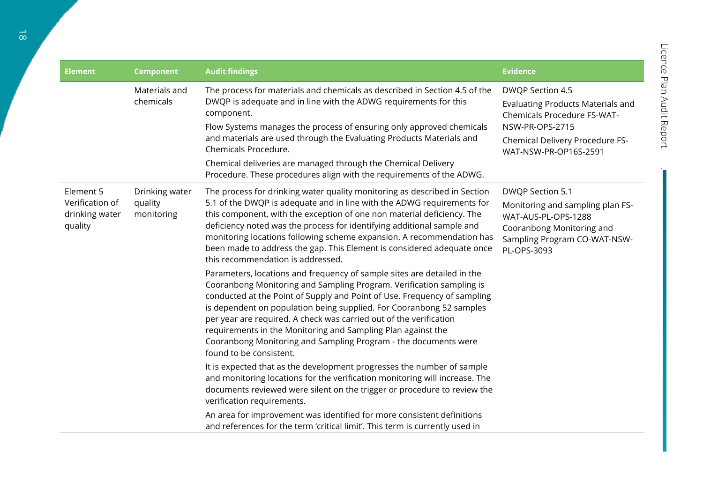.<br>Т

| <b>Element</b>                                            | <b>Component</b>                        | <b>Audit findings</b>                                                                                                                                                                                                                                                                                                                                                                                                                                                                                                                                                                                                                                                                                                                                                                                                                                                                                                                                                                                                                                                                                                                                                                                                                                                                                                                                                                                                                                                   | <b>Evidence</b>                                                                                                                                                            |
|-----------------------------------------------------------|-----------------------------------------|-------------------------------------------------------------------------------------------------------------------------------------------------------------------------------------------------------------------------------------------------------------------------------------------------------------------------------------------------------------------------------------------------------------------------------------------------------------------------------------------------------------------------------------------------------------------------------------------------------------------------------------------------------------------------------------------------------------------------------------------------------------------------------------------------------------------------------------------------------------------------------------------------------------------------------------------------------------------------------------------------------------------------------------------------------------------------------------------------------------------------------------------------------------------------------------------------------------------------------------------------------------------------------------------------------------------------------------------------------------------------------------------------------------------------------------------------------------------------|----------------------------------------------------------------------------------------------------------------------------------------------------------------------------|
|                                                           | Materials and<br>chemicals              | The process for materials and chemicals as described in Section 4.5 of the<br>DWQP is adequate and in line with the ADWG requirements for this<br>component.<br>Flow Systems manages the process of ensuring only approved chemicals<br>and materials are used through the Evaluating Products Materials and<br>Chemicals Procedure.<br>Chemical deliveries are managed through the Chemical Delivery<br>Procedure. These procedures align with the requirements of the ADWG.                                                                                                                                                                                                                                                                                                                                                                                                                                                                                                                                                                                                                                                                                                                                                                                                                                                                                                                                                                                           | DWQP Section 4.5<br><b>Evaluating Products Materials and</b><br>Chemicals Procedure FS-WAT-<br>NSW-PR-OPS-2715<br>Chemical Delivery Procedure FS-<br>WAT-NSW-PR-OP16S-2591 |
| Element 5<br>Verification of<br>drinking water<br>quality | Drinking water<br>quality<br>monitoring | The process for drinking water quality monitoring as described in Section<br>5.1 of the DWQP is adequate and in line with the ADWG requirements for<br>this component, with the exception of one non material deficiency. The<br>deficiency noted was the process for identifying additional sample and<br>monitoring locations following scheme expansion. A recommendation has<br>been made to address the gap. This Element is considered adequate once<br>this recommendation is addressed.<br>Parameters, locations and frequency of sample sites are detailed in the<br>Cooranbong Monitoring and Sampling Program. Verification sampling is<br>conducted at the Point of Supply and Point of Use. Frequency of sampling<br>is dependent on population being supplied. For Cooranbong 52 samples<br>per year are required. A check was carried out of the verification<br>requirements in the Monitoring and Sampling Plan against the<br>Cooranbong Monitoring and Sampling Program - the documents were<br>found to be consistent.<br>It is expected that as the development progresses the number of sample<br>and monitoring locations for the verification monitoring will increase. The<br>documents reviewed were silent on the trigger or procedure to review the<br>verification requirements.<br>An area for improvement was identified for more consistent definitions<br>and references for the term 'critical limit'. This term is currently used in | DWQP Section 5.1<br>Monitoring and sampling plan FS-<br>WAT-AUS-PL-OPS-1288<br>Cooranbong Monitoring and<br>Sampling Program CO-WAT-NSW-<br>PL-OPS-3093                    |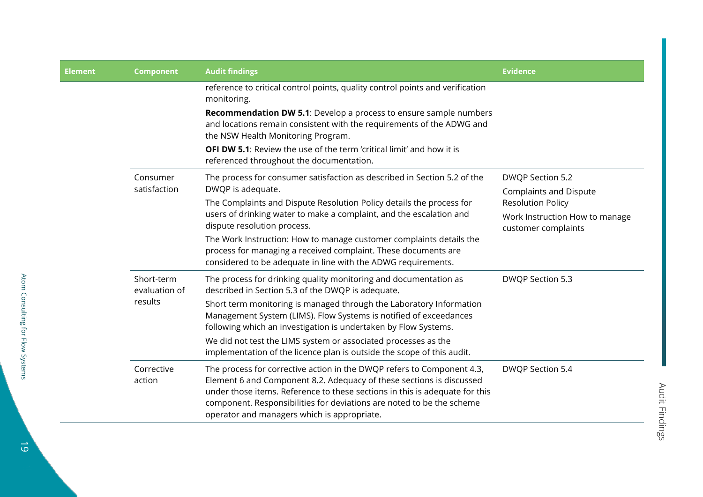| <b>Element</b> | <b>Component</b>                       | <b>Audit findings</b>                                                                                                                                                                                                                                                                                                                                 | <b>Evidence</b>                                                                   |
|----------------|----------------------------------------|-------------------------------------------------------------------------------------------------------------------------------------------------------------------------------------------------------------------------------------------------------------------------------------------------------------------------------------------------------|-----------------------------------------------------------------------------------|
|                |                                        | reference to critical control points, quality control points and verification<br>monitoring.                                                                                                                                                                                                                                                          |                                                                                   |
|                |                                        | <b>Recommendation DW 5.1:</b> Develop a process to ensure sample numbers<br>and locations remain consistent with the requirements of the ADWG and<br>the NSW Health Monitoring Program.                                                                                                                                                               |                                                                                   |
|                |                                        | <b>OFI DW 5.1:</b> Review the use of the term 'critical limit' and how it is<br>referenced throughout the documentation.                                                                                                                                                                                                                              |                                                                                   |
|                | Consumer<br>satisfaction               | The process for consumer satisfaction as described in Section 5.2 of the<br>DWQP is adequate.                                                                                                                                                                                                                                                         | DWQP Section 5.2<br><b>Complaints and Dispute</b>                                 |
|                |                                        | The Complaints and Dispute Resolution Policy details the process for<br>users of drinking water to make a complaint, and the escalation and<br>dispute resolution process.                                                                                                                                                                            | <b>Resolution Policy</b><br>Work Instruction How to manage<br>customer complaints |
|                |                                        | The Work Instruction: How to manage customer complaints details the<br>process for managing a received complaint. These documents are<br>considered to be adequate in line with the ADWG requirements.                                                                                                                                                |                                                                                   |
|                | Short-term<br>evaluation of<br>results | The process for drinking quality monitoring and documentation as<br>described in Section 5.3 of the DWQP is adequate.<br>Short term monitoring is managed through the Laboratory Information<br>Management System (LIMS). Flow Systems is notified of exceedances<br>following which an investigation is undertaken by Flow Systems.                  | DWQP Section 5.3                                                                  |
|                |                                        | We did not test the LIMS system or associated processes as the<br>implementation of the licence plan is outside the scope of this audit.                                                                                                                                                                                                              |                                                                                   |
|                | Corrective<br>action                   | The process for corrective action in the DWQP refers to Component 4.3,<br>Element 6 and Component 8.2. Adequacy of these sections is discussed<br>under those items. Reference to these sections in this is adequate for this<br>component. Responsibilities for deviations are noted to be the scheme<br>operator and managers which is appropriate. | DWQP Section 5.4                                                                  |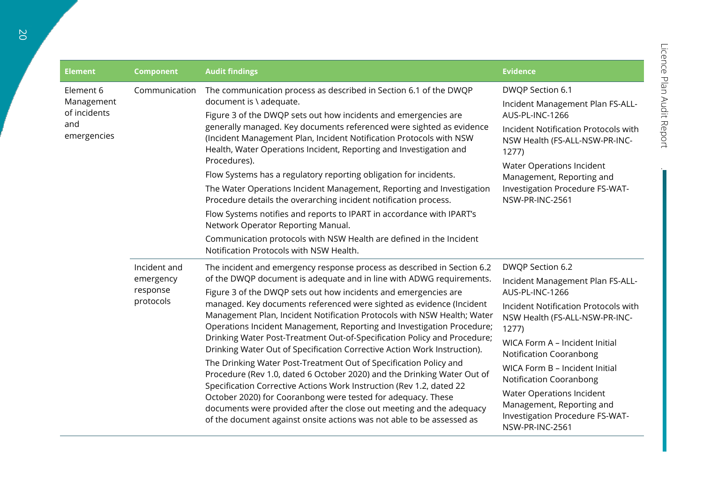$\mathbb{R}^2$ 

| <b>Element</b>                                                | <b>Component</b>                                   | <b>Audit findings</b>                                                                                                                                                                                                                                                                                                                                                                                                                                                                                                                                                                                                                                                                                                                                                                                                                                                                                                                                                                                                                            | <b>Evidence</b>                                                                                                                                                                                                                                                                                                                                                                                                   |
|---------------------------------------------------------------|----------------------------------------------------|--------------------------------------------------------------------------------------------------------------------------------------------------------------------------------------------------------------------------------------------------------------------------------------------------------------------------------------------------------------------------------------------------------------------------------------------------------------------------------------------------------------------------------------------------------------------------------------------------------------------------------------------------------------------------------------------------------------------------------------------------------------------------------------------------------------------------------------------------------------------------------------------------------------------------------------------------------------------------------------------------------------------------------------------------|-------------------------------------------------------------------------------------------------------------------------------------------------------------------------------------------------------------------------------------------------------------------------------------------------------------------------------------------------------------------------------------------------------------------|
| Element 6<br>Management<br>of incidents<br>and<br>emergencies | Communication                                      | The communication process as described in Section 6.1 of the DWQP<br>document is \ adequate.<br>Figure 3 of the DWQP sets out how incidents and emergencies are<br>generally managed. Key documents referenced were sighted as evidence<br>(Incident Management Plan, Incident Notification Protocols with NSW<br>Health, Water Operations Incident, Reporting and Investigation and<br>Procedures).<br>Flow Systems has a regulatory reporting obligation for incidents.<br>The Water Operations Incident Management, Reporting and Investigation<br>Procedure details the overarching incident notification process.<br>Flow Systems notifies and reports to IPART in accordance with IPART's<br>Network Operator Reporting Manual.<br>Communication protocols with NSW Health are defined in the Incident<br>Notification Protocols with NSW Health.                                                                                                                                                                                          | DWQP Section 6.1<br>Incident Management Plan FS-ALL-<br>AUS-PL-INC-1266<br>Incident Notification Protocols with<br>NSW Health (FS-ALL-NSW-PR-INC-<br>1277<br>Water Operations Incident<br>Management, Reporting and<br>Investigation Procedure FS-WAT-<br>NSW-PR-INC-2561                                                                                                                                         |
|                                                               | Incident and<br>emergency<br>response<br>protocols | The incident and emergency response process as described in Section 6.2<br>of the DWQP document is adequate and in line with ADWG requirements.<br>Figure 3 of the DWQP sets out how incidents and emergencies are<br>managed. Key documents referenced were sighted as evidence (Incident<br>Management Plan, Incident Notification Protocols with NSW Health; Water<br>Operations Incident Management, Reporting and Investigation Procedure;<br>Drinking Water Post-Treatment Out-of-Specification Policy and Procedure;<br>Drinking Water Out of Specification Corrective Action Work Instruction).<br>The Drinking Water Post-Treatment Out of Specification Policy and<br>Procedure (Rev 1.0, dated 6 October 2020) and the Drinking Water Out of<br>Specification Corrective Actions Work Instruction (Rev 1.2, dated 22<br>October 2020) for Cooranbong were tested for adequacy. These<br>documents were provided after the close out meeting and the adequacy<br>of the document against onsite actions was not able to be assessed as | DWQP Section 6.2<br>Incident Management Plan FS-ALL-<br>AUS-PL-INC-1266<br>Incident Notification Protocols with<br>NSW Health (FS-ALL-NSW-PR-INC-<br>1277<br>WICA Form A - Incident Initial<br><b>Notification Cooranbong</b><br>WICA Form B - Incident Initial<br><b>Notification Cooranbong</b><br>Water Operations Incident<br>Management, Reporting and<br>Investigation Procedure FS-WAT-<br>NSW-PR-INC-2561 |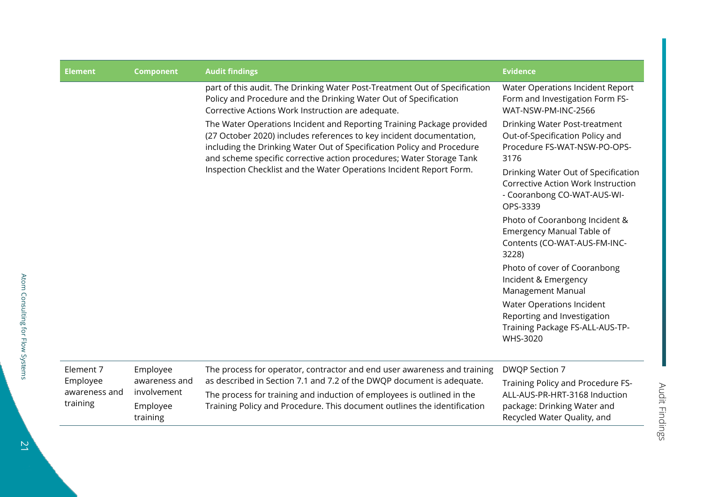| <b>Element</b>                        | <b>Component</b>                                     | <b>Audit findings</b>                                                                                                                                                                                                                                                                                                                                                  | <b>Evidence</b>                                                                                                      |
|---------------------------------------|------------------------------------------------------|------------------------------------------------------------------------------------------------------------------------------------------------------------------------------------------------------------------------------------------------------------------------------------------------------------------------------------------------------------------------|----------------------------------------------------------------------------------------------------------------------|
|                                       |                                                      | part of this audit. The Drinking Water Post-Treatment Out of Specification<br>Policy and Procedure and the Drinking Water Out of Specification<br>Corrective Actions Work Instruction are adequate.                                                                                                                                                                    | Water Operations Incident Report<br>Form and Investigation Form FS-<br>WAT-NSW-PM-INC-2566                           |
|                                       |                                                      | The Water Operations Incident and Reporting Training Package provided<br>(27 October 2020) includes references to key incident documentation,<br>including the Drinking Water Out of Specification Policy and Procedure<br>and scheme specific corrective action procedures; Water Storage Tank<br>Inspection Checklist and the Water Operations Incident Report Form. | Drinking Water Post-treatment<br>Out-of-Specification Policy and<br>Procedure FS-WAT-NSW-PO-OPS-<br>3176             |
|                                       |                                                      |                                                                                                                                                                                                                                                                                                                                                                        | Drinking Water Out of Specification<br>Corrective Action Work Instruction<br>- Cooranbong CO-WAT-AUS-WI-<br>OPS-3339 |
|                                       |                                                      |                                                                                                                                                                                                                                                                                                                                                                        | Photo of Cooranbong Incident &<br><b>Emergency Manual Table of</b><br>Contents (CO-WAT-AUS-FM-INC-<br>3228)          |
|                                       |                                                      |                                                                                                                                                                                                                                                                                                                                                                        | Photo of cover of Cooranbong<br>Incident & Emergency<br>Management Manual                                            |
|                                       |                                                      |                                                                                                                                                                                                                                                                                                                                                                        | Water Operations Incident<br>Reporting and Investigation<br>Training Package FS-ALL-AUS-TP-<br>WHS-3020              |
| Element 7                             | Employee                                             | The process for operator, contractor and end user awareness and training                                                                                                                                                                                                                                                                                               | DWQP Section 7                                                                                                       |
| Employee<br>awareness and<br>training | awareness and<br>involvement<br>Employee<br>training | as described in Section 7.1 and 7.2 of the DWQP document is adequate.<br>The process for training and induction of employees is outlined in the<br>Training Policy and Procedure. This document outlines the identification                                                                                                                                            | Training Policy and Procedure FS-<br>ALL-AUS-PR-HRT-3168 Induction                                                   |
|                                       |                                                      |                                                                                                                                                                                                                                                                                                                                                                        | package: Drinking Water and<br>Recycled Water Quality, and                                                           |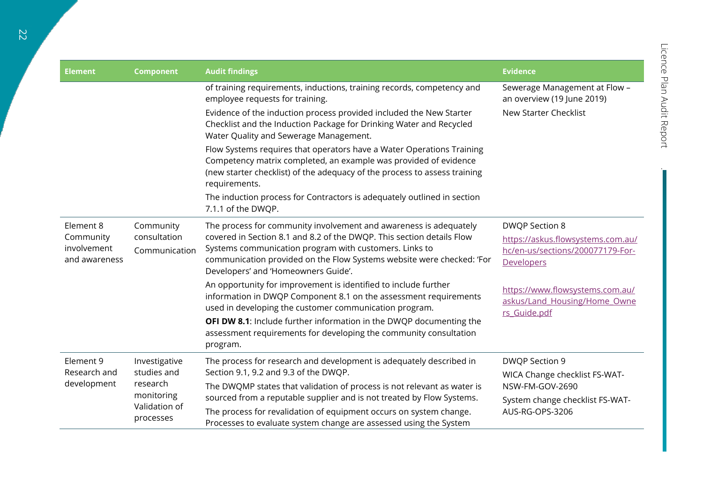| <b>Element</b>                            | <b>Component</b>                                                                                                                                                                                                                                                                 | <b>Audit findings</b>                                                                                                                                                                                                                   | <b>Evidence</b>                                                                 |                                                    |
|-------------------------------------------|----------------------------------------------------------------------------------------------------------------------------------------------------------------------------------------------------------------------------------------------------------------------------------|-----------------------------------------------------------------------------------------------------------------------------------------------------------------------------------------------------------------------------------------|---------------------------------------------------------------------------------|----------------------------------------------------|
|                                           |                                                                                                                                                                                                                                                                                  | of training requirements, inductions, training records, competency and<br>employee requests for training.                                                                                                                               | Sewerage Management at Flow -<br>an overview (19 June 2019)                     |                                                    |
|                                           |                                                                                                                                                                                                                                                                                  | Evidence of the induction process provided included the New Starter<br>Checklist and the Induction Package for Drinking Water and Recycled<br>Water Quality and Sewerage Management.                                                    | New Starter Checklist                                                           |                                                    |
|                                           |                                                                                                                                                                                                                                                                                  | Flow Systems requires that operators have a Water Operations Training<br>Competency matrix completed, an example was provided of evidence<br>(new starter checklist) of the adequacy of the process to assess training<br>requirements. |                                                                                 |                                                    |
|                                           |                                                                                                                                                                                                                                                                                  | The induction process for Contractors is adequately outlined in section<br>7.1.1 of the DWQP.                                                                                                                                           |                                                                                 |                                                    |
| Element 8                                 | Community                                                                                                                                                                                                                                                                        | The process for community involvement and awareness is adequately                                                                                                                                                                       | <b>DWQP Section 8</b>                                                           |                                                    |
| Community<br>involvement<br>and awareness | covered in Section 8.1 and 8.2 of the DWQP. This section details Flow<br>consultation<br>Systems communication program with customers. Links to<br>Communication<br>communication provided on the Flow Systems website were checked: 'For<br>Developers' and 'Homeowners Guide'. | https://askus.flowsystems.com.au/<br>hc/en-us/sections/200077179-For-<br><b>Developers</b>                                                                                                                                              |                                                                                 |                                                    |
|                                           |                                                                                                                                                                                                                                                                                  | An opportunity for improvement is identified to include further<br>information in DWQP Component 8.1 on the assessment requirements<br>used in developing the customer communication program.                                           | https://www.flowsystems.com.au/<br>askus/Land_Housing/Home_Owne<br>rs Guide.pdf |                                                    |
|                                           |                                                                                                                                                                                                                                                                                  | OFI DW 8.1: Include further information in the DWQP documenting the<br>assessment requirements for developing the community consultation<br>program.                                                                                    |                                                                                 |                                                    |
| Element 9                                 | Investigative<br>studies and<br>research<br>monitoring<br>Validation of<br>processes                                                                                                                                                                                             | The process for research and development is adequately described in                                                                                                                                                                     | DWQP Section 9                                                                  |                                                    |
| Research and<br>development               |                                                                                                                                                                                                                                                                                  | Section 9.1, 9.2 and 9.3 of the DWQP.<br>The DWQMP states that validation of process is not relevant as water is                                                                                                                        |                                                                                 | WICA Change checklist FS-WAT-                      |
|                                           |                                                                                                                                                                                                                                                                                  |                                                                                                                                                                                                                                         | sourced from a reputable supplier and is not treated by Flow Systems.           | NSW-FM-GOV-2690<br>System change checklist FS-WAT- |
|                                           |                                                                                                                                                                                                                                                                                  | The process for revalidation of equipment occurs on system change.<br>Processes to evaluate system change are assessed using the System                                                                                                 | AUS-RG-OPS-3206                                                                 |                                                    |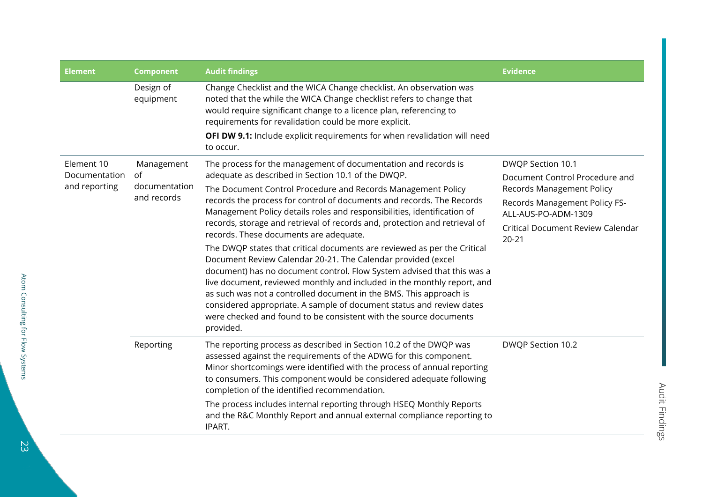| <b>Element</b>              | <b>Component</b>             | <b>Audit findings</b>                                                                                                                                                                                                                                                                                                                                                                                                                                                                                                         | <b>Evidence</b>                                      |
|-----------------------------|------------------------------|-------------------------------------------------------------------------------------------------------------------------------------------------------------------------------------------------------------------------------------------------------------------------------------------------------------------------------------------------------------------------------------------------------------------------------------------------------------------------------------------------------------------------------|------------------------------------------------------|
|                             | Design of<br>equipment       | Change Checklist and the WICA Change checklist. An observation was<br>noted that the while the WICA Change checklist refers to change that<br>would require significant change to a licence plan, referencing to<br>requirements for revalidation could be more explicit.                                                                                                                                                                                                                                                     |                                                      |
|                             |                              | <b>OFI DW 9.1:</b> Include explicit requirements for when revalidation will need<br>to occur.                                                                                                                                                                                                                                                                                                                                                                                                                                 |                                                      |
| Element 10<br>Documentation | Management<br>0f             | The process for the management of documentation and records is<br>adequate as described in Section 10.1 of the DWQP.                                                                                                                                                                                                                                                                                                                                                                                                          | DWQP Section 10.1<br>Document Control Procedure and  |
| and reporting               | documentation<br>and records | The Document Control Procedure and Records Management Policy                                                                                                                                                                                                                                                                                                                                                                                                                                                                  | <b>Records Management Policy</b>                     |
|                             |                              | records the process for control of documents and records. The Records<br>Management Policy details roles and responsibilities, identification of                                                                                                                                                                                                                                                                                                                                                                              | Records Management Policy FS-<br>ALL-AUS-PO-ADM-1309 |
|                             |                              | records, storage and retrieval of records and, protection and retrieval of<br>records. These documents are adequate.                                                                                                                                                                                                                                                                                                                                                                                                          | <b>Critical Document Review Calendar</b>             |
|                             |                              | The DWQP states that critical documents are reviewed as per the Critical<br>Document Review Calendar 20-21. The Calendar provided (excel<br>document) has no document control. Flow System advised that this was a<br>live document, reviewed monthly and included in the monthly report, and<br>as such was not a controlled document in the BMS. This approach is<br>considered appropriate. A sample of document status and review dates<br>were checked and found to be consistent with the source documents<br>provided. | $20 - 21$                                            |
|                             | Reporting                    | The reporting process as described in Section 10.2 of the DWQP was<br>assessed against the requirements of the ADWG for this component.<br>Minor shortcomings were identified with the process of annual reporting<br>to consumers. This component would be considered adequate following<br>completion of the identified recommendation.                                                                                                                                                                                     | DWQP Section 10.2                                    |
|                             |                              | The process includes internal reporting through HSEQ Monthly Reports<br>and the R&C Monthly Report and annual external compliance reporting to<br>IPART.                                                                                                                                                                                                                                                                                                                                                                      |                                                      |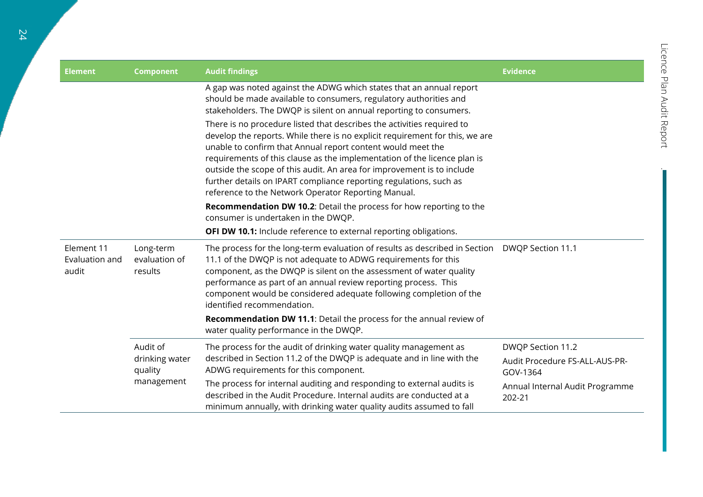| <b>Element</b>                        | <b>Component</b>                                    | <b>Audit findings</b>                                                                                                                                                                                                                                                                                                                                                                                                                                                                                    | <b>Evidence</b>                            |
|---------------------------------------|-----------------------------------------------------|----------------------------------------------------------------------------------------------------------------------------------------------------------------------------------------------------------------------------------------------------------------------------------------------------------------------------------------------------------------------------------------------------------------------------------------------------------------------------------------------------------|--------------------------------------------|
|                                       |                                                     | A gap was noted against the ADWG which states that an annual report<br>should be made available to consumers, regulatory authorities and<br>stakeholders. The DWQP is silent on annual reporting to consumers.                                                                                                                                                                                                                                                                                           |                                            |
|                                       |                                                     | There is no procedure listed that describes the activities required to<br>develop the reports. While there is no explicit requirement for this, we are<br>unable to confirm that Annual report content would meet the<br>requirements of this clause as the implementation of the licence plan is<br>outside the scope of this audit. An area for improvement is to include<br>further details on IPART compliance reporting regulations, such as<br>reference to the Network Operator Reporting Manual. |                                            |
|                                       |                                                     | Recommendation DW 10.2: Detail the process for how reporting to the<br>consumer is undertaken in the DWQP.                                                                                                                                                                                                                                                                                                                                                                                               |                                            |
|                                       |                                                     | <b>OFI DW 10.1:</b> Include reference to external reporting obligations.                                                                                                                                                                                                                                                                                                                                                                                                                                 |                                            |
| Element 11<br>Evaluation and<br>audit | Long-term<br>evaluation of<br>results               | The process for the long-term evaluation of results as described in Section<br>11.1 of the DWQP is not adequate to ADWG requirements for this<br>component, as the DWQP is silent on the assessment of water quality<br>performance as part of an annual review reporting process. This<br>component would be considered adequate following completion of the<br>identified recommendation.                                                                                                              | DWQP Section 11.1                          |
|                                       |                                                     | Recommendation DW 11.1: Detail the process for the annual review of<br>water quality performance in the DWQP.                                                                                                                                                                                                                                                                                                                                                                                            |                                            |
|                                       | Audit of<br>drinking water<br>quality<br>management | The process for the audit of drinking water quality management as                                                                                                                                                                                                                                                                                                                                                                                                                                        | DWQP Section 11.2                          |
|                                       |                                                     | described in Section 11.2 of the DWQP is adequate and in line with the<br>ADWG requirements for this component.                                                                                                                                                                                                                                                                                                                                                                                          | Audit Procedure FS-ALL-AUS-PR-<br>GOV-1364 |
|                                       |                                                     | The process for internal auditing and responding to external audits is<br>described in the Audit Procedure. Internal audits are conducted at a<br>minimum annually, with drinking water quality audits assumed to fall                                                                                                                                                                                                                                                                                   | Annual Internal Audit Programme<br>202-21  |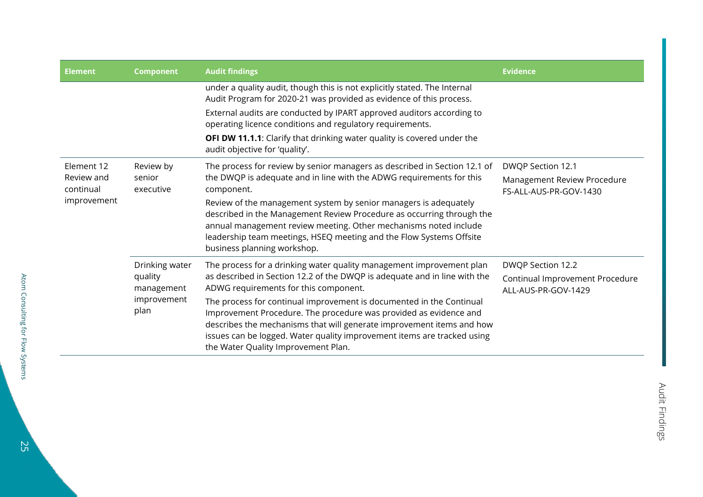| <b>Element</b>                                       | <b>Component</b>                                               | <b>Audit findings</b>                                                                                                                                                                                                                                                                                                                                                                                                                                                                                                              | <b>Evidence</b>                                                             |
|------------------------------------------------------|----------------------------------------------------------------|------------------------------------------------------------------------------------------------------------------------------------------------------------------------------------------------------------------------------------------------------------------------------------------------------------------------------------------------------------------------------------------------------------------------------------------------------------------------------------------------------------------------------------|-----------------------------------------------------------------------------|
|                                                      |                                                                | under a quality audit, though this is not explicitly stated. The Internal<br>Audit Program for 2020-21 was provided as evidence of this process.                                                                                                                                                                                                                                                                                                                                                                                   |                                                                             |
|                                                      |                                                                | External audits are conducted by IPART approved auditors according to<br>operating licence conditions and regulatory requirements.                                                                                                                                                                                                                                                                                                                                                                                                 |                                                                             |
|                                                      |                                                                | OFI DW 11.1.1: Clarify that drinking water quality is covered under the<br>audit objective for 'quality'.                                                                                                                                                                                                                                                                                                                                                                                                                          |                                                                             |
| Element 12<br>Review and<br>continual<br>improvement | Review by<br>senior<br>executive                               | The process for review by senior managers as described in Section 12.1 of<br>the DWQP is adequate and in line with the ADWG requirements for this<br>component.<br>Review of the management system by senior managers is adequately<br>described in the Management Review Procedure as occurring through the<br>annual management review meeting. Other mechanisms noted include<br>leadership team meetings, HSEQ meeting and the Flow Systems Offsite<br>business planning workshop.                                             | DWQP Section 12.1<br>Management Review Procedure<br>FS-ALL-AUS-PR-GOV-1430  |
|                                                      | Drinking water<br>quality<br>management<br>improvement<br>plan | The process for a drinking water quality management improvement plan<br>as described in Section 12.2 of the DWQP is adequate and in line with the<br>ADWG requirements for this component.<br>The process for continual improvement is documented in the Continual<br>Improvement Procedure. The procedure was provided as evidence and<br>describes the mechanisms that will generate improvement items and how<br>issues can be logged. Water quality improvement items are tracked using<br>the Water Quality Improvement Plan. | DWQP Section 12.2<br>Continual Improvement Procedure<br>ALL-AUS-PR-GOV-1429 |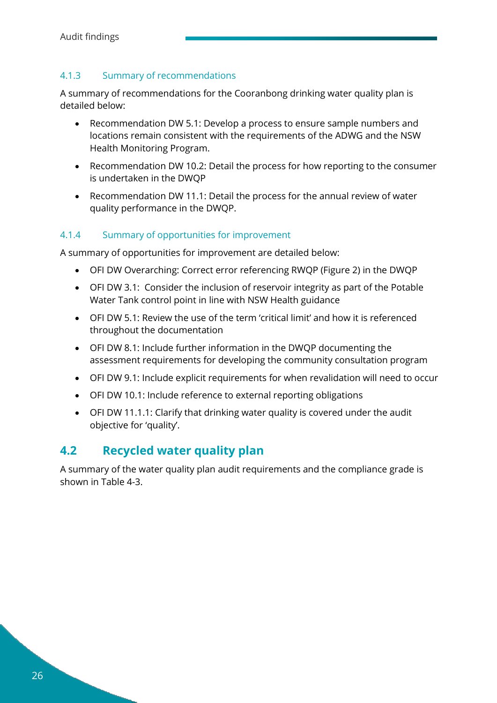#### <span id="page-25-0"></span>4.1.3 Summary of recommendations

A summary of recommendations for the Cooranbong drinking water quality plan is detailed below:

- Recommendation DW 5.1: Develop a process to ensure sample numbers and locations remain consistent with the requirements of the ADWG and the NSW Health Monitoring Program.
- Recommendation DW 10.2: Detail the process for how reporting to the consumer is undertaken in the DWQP
- Recommendation DW 11.1: Detail the process for the annual review of water quality performance in the DWQP.

#### <span id="page-25-1"></span>4.1.4 Summary of opportunities for improvement

A summary of opportunities for improvement are detailed below:

- OFI DW Overarching: Correct error referencing RWQP (Figure 2) in the DWQP
- OFI DW 3.1: Consider the inclusion of reservoir integrity as part of the Potable Water Tank control point in line with NSW Health guidance
- OFI DW 5.1: Review the use of the term 'critical limit' and how it is referenced throughout the documentation
- OFI DW 8.1: Include further information in the DWQP documenting the assessment requirements for developing the community consultation program
- OFI DW 9.1: Include explicit requirements for when revalidation will need to occur
- OFI DW 10.1: Include reference to external reporting obligations
- OFI DW 11.1.1: Clarify that drinking water quality is covered under the audit objective for 'quality'.

### <span id="page-25-2"></span>**4.2 Recycled water quality plan**

A summary of the water quality plan audit requirements and the compliance grade is shown in [Table 4-3.](#page-26-1)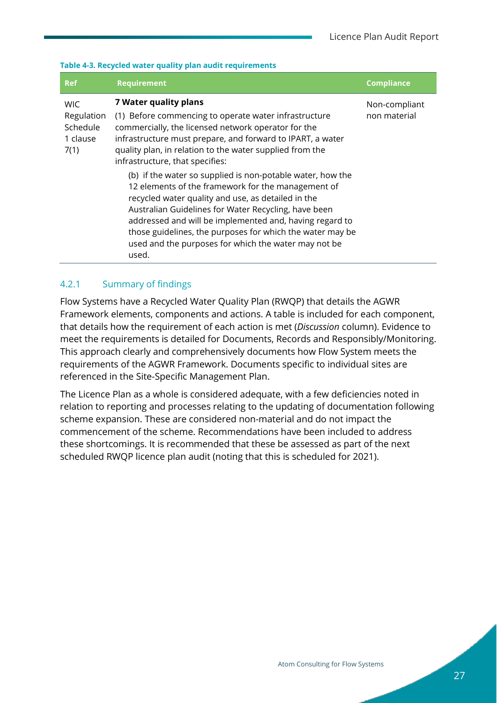#### <span id="page-26-1"></span>**Table 4-3. Recycled water quality plan audit requirements**

| <b>Ref</b>                                               | <b>Requirement</b>                                                                                                                                                                                                                                                                                                                                               | <b>Compliance</b>             |  |
|----------------------------------------------------------|------------------------------------------------------------------------------------------------------------------------------------------------------------------------------------------------------------------------------------------------------------------------------------------------------------------------------------------------------------------|-------------------------------|--|
| <b>WIC</b><br>Regulation<br>Schedule<br>1 clause<br>7(1) | 7 Water quality plans<br>(1) Before commencing to operate water infrastructure<br>commercially, the licensed network operator for the<br>infrastructure must prepare, and forward to IPART, a water<br>quality plan, in relation to the water supplied from the<br>infrastructure, that specifies:<br>(b) if the water so supplied is non-potable water, how the | Non-compliant<br>non material |  |
|                                                          | 12 elements of the framework for the management of<br>recycled water quality and use, as detailed in the<br>Australian Guidelines for Water Recycling, have been<br>addressed and will be implemented and, having regard to<br>those guidelines, the purposes for which the water may be<br>used and the purposes for which the water may not be<br>used.        |                               |  |

#### <span id="page-26-0"></span>4.2.1 Summary of findings

Flow Systems have a Recycled Water Quality Plan (RWQP) that details the AGWR Framework elements, components and actions. A table is included for each component, that details how the requirement of each action is met (*Discussion* column). Evidence to meet the requirements is detailed for Documents, Records and Responsibly/Monitoring. This approach clearly and comprehensively documents how Flow System meets the requirements of the AGWR Framework. Documents specific to individual sites are referenced in the Site-Specific Management Plan.

The Licence Plan as a whole is considered adequate, with a few deficiencies noted in relation to reporting and processes relating to the updating of documentation following scheme expansion. These are considered non-material and do not impact the commencement of the scheme. Recommendations have been included to address these shortcomings. It is recommended that these be assessed as part of the next scheduled RWQP licence plan audit (noting that this is scheduled for 2021).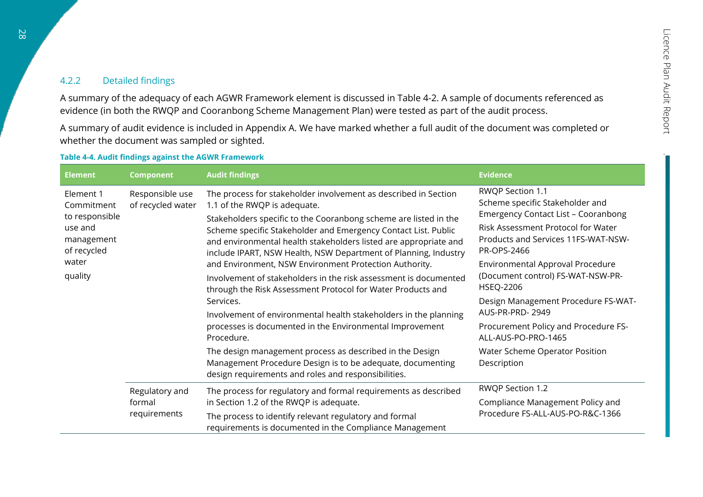#### 4.2.2 Detailed findings

A summary of the adequacy of each AGWR Framework element is discussed in [Table 4-2.](#page-12-1) A sample of documents referenced as evidence (in both the RWQP and Cooranbong Scheme Management Plan) were tested as part of the audit process.

A summary of audit evidence is included in [Appendix A.](#page-44-1) We have marked whether a full audit of the document was completed or whether the document was sampled or sighted.

#### **Table 4-4. Audit findings against the AGWR Framework**

<span id="page-27-0"></span>

| <b>Element</b>                                                                                        | <b>Component</b>                         | <b>Audit findings</b>                                                                                                                                                                                                                                                                                                                                                                                                                                                                                                                                                                                                                                                                                                                                                                                                                                                                                                 | <b>Evidence</b>                                                                                                                                                                                                                                                                                                                                                                                                                                                      |
|-------------------------------------------------------------------------------------------------------|------------------------------------------|-----------------------------------------------------------------------------------------------------------------------------------------------------------------------------------------------------------------------------------------------------------------------------------------------------------------------------------------------------------------------------------------------------------------------------------------------------------------------------------------------------------------------------------------------------------------------------------------------------------------------------------------------------------------------------------------------------------------------------------------------------------------------------------------------------------------------------------------------------------------------------------------------------------------------|----------------------------------------------------------------------------------------------------------------------------------------------------------------------------------------------------------------------------------------------------------------------------------------------------------------------------------------------------------------------------------------------------------------------------------------------------------------------|
| Element 1<br>Commitment<br>to responsible<br>use and<br>management<br>of recycled<br>water<br>quality | Responsible use<br>of recycled water     | The process for stakeholder involvement as described in Section<br>1.1 of the RWQP is adequate.<br>Stakeholders specific to the Cooranbong scheme are listed in the<br>Scheme specific Stakeholder and Emergency Contact List. Public<br>and environmental health stakeholders listed are appropriate and<br>include IPART, NSW Health, NSW Department of Planning, Industry<br>and Environment, NSW Environment Protection Authority.<br>Involvement of stakeholders in the risk assessment is documented<br>through the Risk Assessment Protocol for Water Products and<br>Services.<br>Involvement of environmental health stakeholders in the planning<br>processes is documented in the Environmental Improvement<br>Procedure.<br>The design management process as described in the Design<br>Management Procedure Design is to be adequate, documenting<br>design requirements and roles and responsibilities. | RWQP Section 1.1<br>Scheme specific Stakeholder and<br><b>Emergency Contact List - Cooranbong</b><br>Risk Assessment Protocol for Water<br>Products and Services 11FS-WAT-NSW-<br>PR-OPS-2466<br>Environmental Approval Procedure<br>(Document control) FS-WAT-NSW-PR-<br><b>HSEQ-2206</b><br>Design Management Procedure FS-WAT-<br>AUS-PR-PRD-2949<br>Procurement Policy and Procedure FS-<br>ALL-AUS-PO-PRO-1465<br>Water Scheme Operator Position<br>Description |
|                                                                                                       | Regulatory and<br>formal<br>requirements | The process for regulatory and formal requirements as described<br>in Section 1.2 of the RWQP is adequate.<br>The process to identify relevant regulatory and formal<br>requirements is documented in the Compliance Management                                                                                                                                                                                                                                                                                                                                                                                                                                                                                                                                                                                                                                                                                       | RWQP Section 1.2<br>Compliance Management Policy and<br>Procedure FS-ALL-AUS-PO-R&C-1366                                                                                                                                                                                                                                                                                                                                                                             |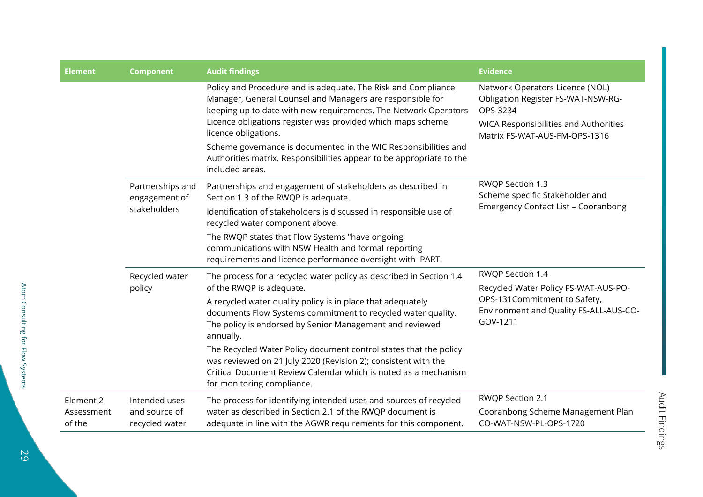| <b>Element</b>                    | <b>Component</b>                                  | <b>Audit findings</b>                                                                                                                                                                                                                                                                                                                                                                                                                              | <b>Evidence</b>                                                                                                                                                    |
|-----------------------------------|---------------------------------------------------|----------------------------------------------------------------------------------------------------------------------------------------------------------------------------------------------------------------------------------------------------------------------------------------------------------------------------------------------------------------------------------------------------------------------------------------------------|--------------------------------------------------------------------------------------------------------------------------------------------------------------------|
|                                   |                                                   | Policy and Procedure and is adequate. The Risk and Compliance<br>Manager, General Counsel and Managers are responsible for<br>keeping up to date with new requirements. The Network Operators<br>Licence obligations register was provided which maps scheme<br>licence obligations.<br>Scheme governance is documented in the WIC Responsibilities and<br>Authorities matrix. Responsibilities appear to be appropriate to the<br>included areas. | Network Operators Licence (NOL)<br>Obligation Register FS-WAT-NSW-RG-<br>OPS-3234<br><b>WICA Responsibilities and Authorities</b><br>Matrix FS-WAT-AUS-FM-OPS-1316 |
|                                   | Partnerships and<br>engagement of<br>stakeholders | Partnerships and engagement of stakeholders as described in<br>Section 1.3 of the RWQP is adequate.<br>Identification of stakeholders is discussed in responsible use of<br>recycled water component above.                                                                                                                                                                                                                                        | RWQP Section 1.3<br>Scheme specific Stakeholder and<br><b>Emergency Contact List - Cooranbong</b>                                                                  |
|                                   |                                                   | The RWQP states that Flow Systems "have ongoing<br>communications with NSW Health and formal reporting<br>requirements and licence performance oversight with IPART.                                                                                                                                                                                                                                                                               |                                                                                                                                                                    |
|                                   | Recycled water<br>policy                          | The process for a recycled water policy as described in Section 1.4<br>of the RWQP is adequate.<br>A recycled water quality policy is in place that adequately                                                                                                                                                                                                                                                                                     | RWQP Section 1.4<br>Recycled Water Policy FS-WAT-AUS-PO-<br>OPS-131Commitment to Safety,                                                                           |
|                                   |                                                   | documents Flow Systems commitment to recycled water quality.<br>The policy is endorsed by Senior Management and reviewed<br>annually.                                                                                                                                                                                                                                                                                                              | Environment and Quality FS-ALL-AUS-CO-<br>GOV-1211                                                                                                                 |
|                                   |                                                   | The Recycled Water Policy document control states that the policy<br>was reviewed on 21 July 2020 (Revision 2); consistent with the<br>Critical Document Review Calendar which is noted as a mechanism<br>for monitoring compliance.                                                                                                                                                                                                               |                                                                                                                                                                    |
| Element 2<br>Assessment<br>of the | Intended uses<br>and source of<br>recycled water  | The process for identifying intended uses and sources of recycled<br>water as described in Section 2.1 of the RWQP document is<br>adequate in line with the AGWR requirements for this component.                                                                                                                                                                                                                                                  | RWQP Section 2.1<br>Cooranbong Scheme Management Plan<br>CO-WAT-NSW-PL-OPS-1720                                                                                    |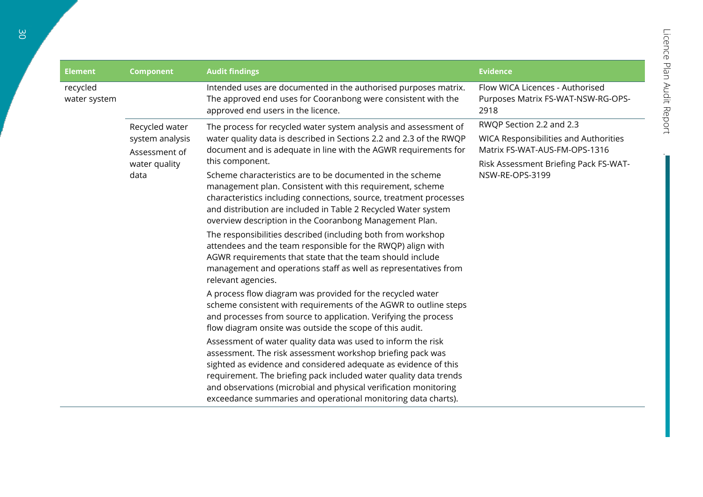| <b>Element</b>           | <b>Component</b>                                                            | <b>Audit findings</b>                                                                                                                                                                                                                                                                                                                                                                                                                                                                                                                                                                                                                                                                                                                                                                                                                                                                                                                                                                                                                                                                                                                                                                                                                                                                                                                                                                                                                                                                                                       | <b>Evidence</b>                                                                                                                                                       |
|--------------------------|-----------------------------------------------------------------------------|-----------------------------------------------------------------------------------------------------------------------------------------------------------------------------------------------------------------------------------------------------------------------------------------------------------------------------------------------------------------------------------------------------------------------------------------------------------------------------------------------------------------------------------------------------------------------------------------------------------------------------------------------------------------------------------------------------------------------------------------------------------------------------------------------------------------------------------------------------------------------------------------------------------------------------------------------------------------------------------------------------------------------------------------------------------------------------------------------------------------------------------------------------------------------------------------------------------------------------------------------------------------------------------------------------------------------------------------------------------------------------------------------------------------------------------------------------------------------------------------------------------------------------|-----------------------------------------------------------------------------------------------------------------------------------------------------------------------|
| recycled<br>water system |                                                                             | Intended uses are documented in the authorised purposes matrix.<br>The approved end uses for Cooranbong were consistent with the<br>approved end users in the licence.                                                                                                                                                                                                                                                                                                                                                                                                                                                                                                                                                                                                                                                                                                                                                                                                                                                                                                                                                                                                                                                                                                                                                                                                                                                                                                                                                      | Flow WICA Licences - Authorised<br>Purposes Matrix FS-WAT-NSW-RG-OPS-<br>2918                                                                                         |
|                          | Recycled water<br>system analysis<br>Assessment of<br>water quality<br>data | The process for recycled water system analysis and assessment of<br>water quality data is described in Sections 2.2 and 2.3 of the RWQP<br>document and is adequate in line with the AGWR requirements for<br>this component.<br>Scheme characteristics are to be documented in the scheme<br>management plan. Consistent with this requirement, scheme<br>characteristics including connections, source, treatment processes<br>and distribution are included in Table 2 Recycled Water system<br>overview description in the Cooranbong Management Plan.<br>The responsibilities described (including both from workshop<br>attendees and the team responsible for the RWQP) align with<br>AGWR requirements that state that the team should include<br>management and operations staff as well as representatives from<br>relevant agencies.<br>A process flow diagram was provided for the recycled water<br>scheme consistent with requirements of the AGWR to outline steps<br>and processes from source to application. Verifying the process<br>flow diagram onsite was outside the scope of this audit.<br>Assessment of water quality data was used to inform the risk<br>assessment. The risk assessment workshop briefing pack was<br>sighted as evidence and considered adequate as evidence of this<br>requirement. The briefing pack included water quality data trends<br>and observations (microbial and physical verification monitoring<br>exceedance summaries and operational monitoring data charts). | RWQP Section 2.2 and 2.3<br><b>WICA Responsibilities and Authorities</b><br>Matrix FS-WAT-AUS-FM-OPS-1316<br>Risk Assessment Briefing Pack FS-WAT-<br>NSW-RE-OPS-3199 |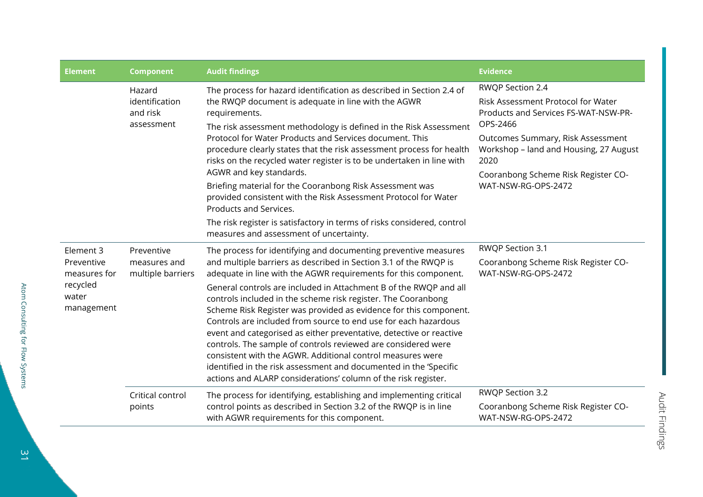| <b>Element</b>                                                             | <b>Component</b>                                   | <b>Audit findings</b>                                                                                                                                                                                                                                                                                                                                                                                                                                                                                                                                                                                                                                                                                                                                                                                                             | <b>Evidence</b>                                                                                                                                                                                                                                                 |
|----------------------------------------------------------------------------|----------------------------------------------------|-----------------------------------------------------------------------------------------------------------------------------------------------------------------------------------------------------------------------------------------------------------------------------------------------------------------------------------------------------------------------------------------------------------------------------------------------------------------------------------------------------------------------------------------------------------------------------------------------------------------------------------------------------------------------------------------------------------------------------------------------------------------------------------------------------------------------------------|-----------------------------------------------------------------------------------------------------------------------------------------------------------------------------------------------------------------------------------------------------------------|
|                                                                            | Hazard<br>identification<br>and risk<br>assessment | The process for hazard identification as described in Section 2.4 of<br>the RWQP document is adequate in line with the AGWR<br>requirements.<br>The risk assessment methodology is defined in the Risk Assessment<br>Protocol for Water Products and Services document. This<br>procedure clearly states that the risk assessment process for health<br>risks on the recycled water register is to be undertaken in line with<br>AGWR and key standards.<br>Briefing material for the Cooranbong Risk Assessment was<br>provided consistent with the Risk Assessment Protocol for Water<br>Products and Services.<br>The risk register is satisfactory in terms of risks considered, control<br>measures and assessment of uncertainty.                                                                                           | RWQP Section 2.4<br>Risk Assessment Protocol for Water<br>Products and Services FS-WAT-NSW-PR-<br>OPS-2466<br>Outcomes Summary, Risk Assessment<br>Workshop - land and Housing, 27 August<br>2020<br>Cooranbong Scheme Risk Register CO-<br>WAT-NSW-RG-OPS-2472 |
| Element 3<br>Preventive<br>measures for<br>recycled<br>water<br>management | Preventive<br>measures and<br>multiple barriers    | The process for identifying and documenting preventive measures<br>and multiple barriers as described in Section 3.1 of the RWQP is<br>adequate in line with the AGWR requirements for this component.<br>General controls are included in Attachment B of the RWQP and all<br>controls included in the scheme risk register. The Cooranbong<br>Scheme Risk Register was provided as evidence for this component.<br>Controls are included from source to end use for each hazardous<br>event and categorised as either preventative, detective or reactive<br>controls. The sample of controls reviewed are considered were<br>consistent with the AGWR. Additional control measures were<br>identified in the risk assessment and documented in the 'Specific<br>actions and ALARP considerations' column of the risk register. | RWQP Section 3.1<br>Cooranbong Scheme Risk Register CO-<br>WAT-NSW-RG-OPS-2472                                                                                                                                                                                  |
|                                                                            | Critical control<br>points                         | The process for identifying, establishing and implementing critical<br>control points as described in Section 3.2 of the RWQP is in line<br>with AGWR requirements for this component.                                                                                                                                                                                                                                                                                                                                                                                                                                                                                                                                                                                                                                            | RWQP Section 3.2<br>Cooranbong Scheme Risk Register CO-<br>WAT-NSW-RG-OPS-2472                                                                                                                                                                                  |

 $\frac{1}{2}$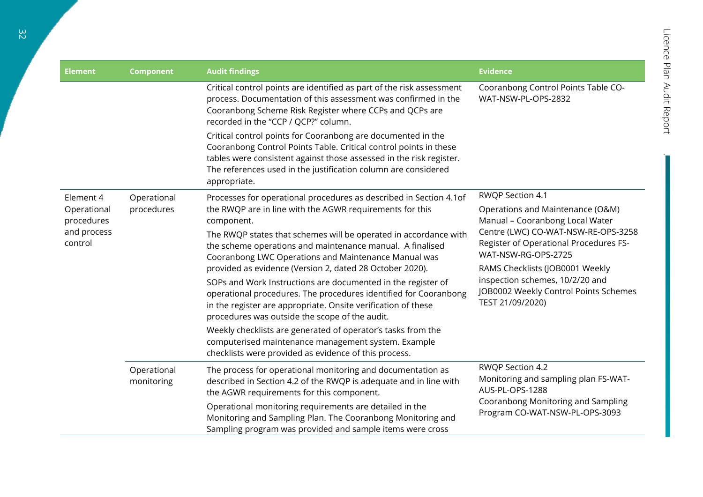| <b>Element</b>                                      | <b>Component</b>          | <b>Audit findings</b>                                                                                                                                                                                                                                                                      | <b>Evidence</b>                                                                                                                                                                                                                                                                                                                    |
|-----------------------------------------------------|---------------------------|--------------------------------------------------------------------------------------------------------------------------------------------------------------------------------------------------------------------------------------------------------------------------------------------|------------------------------------------------------------------------------------------------------------------------------------------------------------------------------------------------------------------------------------------------------------------------------------------------------------------------------------|
|                                                     |                           | Critical control points are identified as part of the risk assessment<br>process. Documentation of this assessment was confirmed in the<br>Cooranbong Scheme Risk Register where CCPs and QCPs are<br>recorded in the "CCP / QCP?" column.                                                 | Cooranbong Control Points Table CO-<br>WAT-NSW-PL-OPS-2832                                                                                                                                                                                                                                                                         |
|                                                     |                           | Critical control points for Cooranbong are documented in the<br>Cooranbong Control Points Table. Critical control points in these<br>tables were consistent against those assessed in the risk register.<br>The references used in the justification column are considered<br>appropriate. |                                                                                                                                                                                                                                                                                                                                    |
| Element 4                                           | Operational               | Processes for operational procedures as described in Section 4.1of                                                                                                                                                                                                                         | RWQP Section 4.1<br>Operations and Maintenance (O&M)<br>Manual - Cooranbong Local Water<br>Centre (LWC) CO-WAT-NSW-RE-OPS-3258<br>Register of Operational Procedures FS-<br>WAT-NSW-RG-OPS-2725<br>RAMS Checklists (JOB0001 Weekly<br>inspection schemes, 10/2/20 and<br>JOB0002 Weekly Control Points Schemes<br>TEST 21/09/2020) |
| Operational<br>procedures<br>and process<br>control | procedures                | the RWQP are in line with the AGWR requirements for this<br>component.                                                                                                                                                                                                                     |                                                                                                                                                                                                                                                                                                                                    |
|                                                     |                           | The RWQP states that schemes will be operated in accordance with<br>the scheme operations and maintenance manual. A finalised<br>Cooranbong LWC Operations and Maintenance Manual was                                                                                                      |                                                                                                                                                                                                                                                                                                                                    |
|                                                     |                           | provided as evidence (Version 2, dated 28 October 2020).                                                                                                                                                                                                                                   |                                                                                                                                                                                                                                                                                                                                    |
|                                                     |                           | SOPs and Work Instructions are documented in the register of<br>operational procedures. The procedures identified for Cooranbong<br>in the register are appropriate. Onsite verification of these<br>procedures was outside the scope of the audit.                                        |                                                                                                                                                                                                                                                                                                                                    |
|                                                     |                           | Weekly checklists are generated of operator's tasks from the<br>computerised maintenance management system. Example<br>checklists were provided as evidence of this process.                                                                                                               |                                                                                                                                                                                                                                                                                                                                    |
|                                                     | Operational<br>monitoring | The process for operational monitoring and documentation as<br>described in Section 4.2 of the RWQP is adequate and in line with<br>the AGWR requirements for this component.                                                                                                              | RWQP Section 4.2<br>Monitoring and sampling plan FS-WAT-<br>AUS-PL-OPS-1288                                                                                                                                                                                                                                                        |
|                                                     |                           | Operational monitoring requirements are detailed in the<br>Monitoring and Sampling Plan. The Cooranbong Monitoring and<br>Sampling program was provided and sample items were cross                                                                                                        | Cooranbong Monitoring and Sampling<br>Program CO-WAT-NSW-PL-OPS-3093                                                                                                                                                                                                                                                               |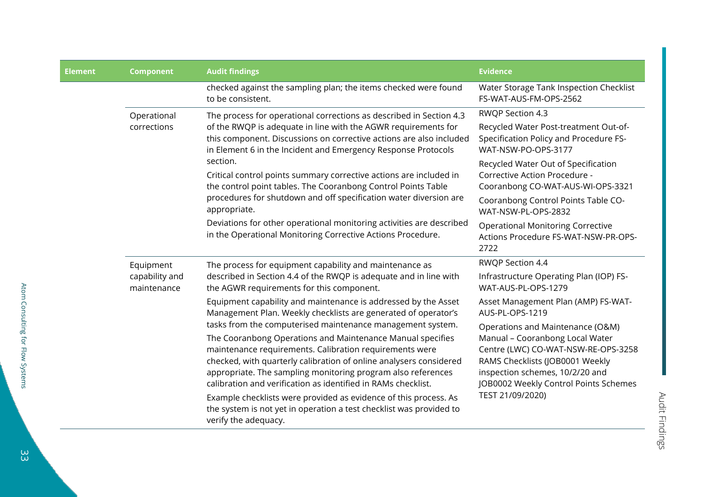| <b>Element</b> | <b>Component</b>                           | <b>Audit findings</b>                                                                                                                                                                                                                                                                                                                                           | <b>Evidence</b>                                                                                                                                                                                    |
|----------------|--------------------------------------------|-----------------------------------------------------------------------------------------------------------------------------------------------------------------------------------------------------------------------------------------------------------------------------------------------------------------------------------------------------------------|----------------------------------------------------------------------------------------------------------------------------------------------------------------------------------------------------|
|                |                                            | checked against the sampling plan; the items checked were found<br>to be consistent.                                                                                                                                                                                                                                                                            | Water Storage Tank Inspection Checklist<br>FS-WAT-AUS-FM-OPS-2562                                                                                                                                  |
|                | Operational<br>corrections                 | The process for operational corrections as described in Section 4.3<br>of the RWQP is adequate in line with the AGWR requirements for<br>this component. Discussions on corrective actions are also included<br>in Element 6 in the Incident and Emergency Response Protocols<br>section.<br>Critical control points summary corrective actions are included in | RWQP Section 4.3<br>Recycled Water Post-treatment Out-of-<br>Specification Policy and Procedure FS-<br>WAT-NSW-PO-OPS-3177<br>Recycled Water Out of Specification<br>Corrective Action Procedure - |
|                |                                            | the control point tables. The Cooranbong Control Points Table<br>procedures for shutdown and off specification water diversion are<br>appropriate.                                                                                                                                                                                                              | Cooranbong CO-WAT-AUS-WI-OPS-3321<br>Cooranbong Control Points Table CO-<br>WAT-NSW-PL-OPS-2832                                                                                                    |
|                |                                            | Deviations for other operational monitoring activities are described<br>in the Operational Monitoring Corrective Actions Procedure.                                                                                                                                                                                                                             | <b>Operational Monitoring Corrective</b><br>Actions Procedure FS-WAT-NSW-PR-OPS-<br>2722                                                                                                           |
|                | Equipment<br>capability and<br>maintenance | The process for equipment capability and maintenance as<br>described in Section 4.4 of the RWQP is adequate and in line with<br>the AGWR requirements for this component.                                                                                                                                                                                       | RWQP Section 4.4                                                                                                                                                                                   |
|                |                                            |                                                                                                                                                                                                                                                                                                                                                                 | Infrastructure Operating Plan (IOP) FS-<br>WAT-AUS-PL-OPS-1279                                                                                                                                     |
|                |                                            | Equipment capability and maintenance is addressed by the Asset<br>Management Plan. Weekly checklists are generated of operator's                                                                                                                                                                                                                                | Asset Management Plan (AMP) FS-WAT-<br>AUS-PL-OPS-1219                                                                                                                                             |
|                |                                            | tasks from the computerised maintenance management system.                                                                                                                                                                                                                                                                                                      | Operations and Maintenance (O&M)                                                                                                                                                                   |
|                |                                            | The Cooranbong Operations and Maintenance Manual specifies<br>maintenance requirements. Calibration requirements were<br>checked, with quarterly calibration of online analysers considered<br>appropriate. The sampling monitoring program also references<br>calibration and verification as identified in RAMs checklist.                                    | Manual - Cooranbong Local Water<br>Centre (LWC) CO-WAT-NSW-RE-OPS-3258<br>RAMS Checklists (JOB0001 Weekly<br>inspection schemes, 10/2/20 and<br>JOB0002 Weekly Control Points Schemes              |
|                |                                            | Example checklists were provided as evidence of this process. As<br>the system is not yet in operation a test checklist was provided to<br>verify the adequacy.                                                                                                                                                                                                 | TEST 21/09/2020)                                                                                                                                                                                   |

Atom Consulting for Flow Systems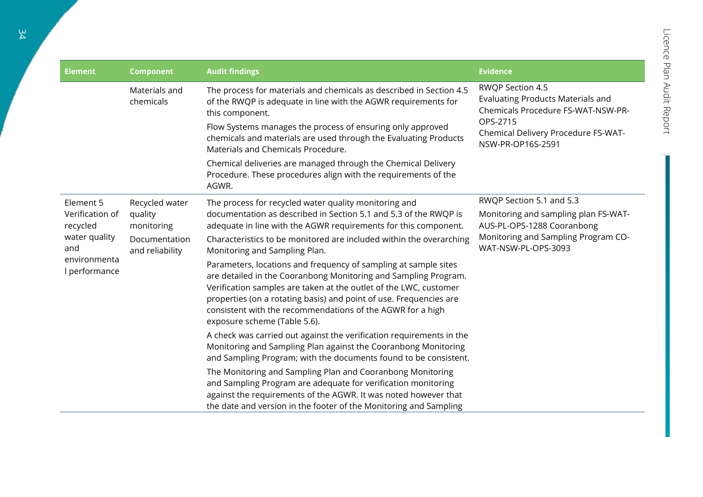| <b>Element</b>                | <b>Component</b>                                                            | <b>Audit findings</b>                                                                                                                                                                                                                                                                                                                                                                                                                                                        | <b>Evidence</b>                                                                                                                                                            |
|-------------------------------|-----------------------------------------------------------------------------|------------------------------------------------------------------------------------------------------------------------------------------------------------------------------------------------------------------------------------------------------------------------------------------------------------------------------------------------------------------------------------------------------------------------------------------------------------------------------|----------------------------------------------------------------------------------------------------------------------------------------------------------------------------|
|                               | Materials and<br>chemicals                                                  | The process for materials and chemicals as described in Section 4.5<br>of the RWQP is adequate in line with the AGWR requirements for<br>this component.<br>Flow Systems manages the process of ensuring only approved<br>chemicals and materials are used through the Evaluating Products<br>Materials and Chemicals Procedure.<br>Chemical deliveries are managed through the Chemical Delivery<br>Procedure. These procedures align with the requirements of the<br>AGWR. | RWQP Section 4.5<br><b>Evaluating Products Materials and</b><br>Chemicals Procedure FS-WAT-NSW-PR-<br>OPS-2715<br>Chemical Delivery Procedure FS-WAT-<br>NSW-PR-OP16S-2591 |
| Element 5                     | Recycled water<br>quality<br>monitoring<br>Documentation<br>and reliability | The process for recycled water quality monitoring and                                                                                                                                                                                                                                                                                                                                                                                                                        | RWQP Section 5.1 and 5.3                                                                                                                                                   |
| Verification of<br>recycled   |                                                                             | documentation as described in Section 5.1 and 5.3 of the RWQP is<br>adequate in line with the AGWR requirements for this component.                                                                                                                                                                                                                                                                                                                                          | Monitoring and sampling plan FS-WAT-<br>AUS-PL-OPS-1288 Cooranbong                                                                                                         |
| water quality<br>and          |                                                                             | Characteristics to be monitored are included within the overarching<br>Monitoring and Sampling Plan.                                                                                                                                                                                                                                                                                                                                                                         | Monitoring and Sampling Program CO-<br>WAT-NSW-PL-OPS-3093                                                                                                                 |
| environmenta<br>I performance |                                                                             | Parameters, locations and frequency of sampling at sample sites<br>are detailed in the Cooranbong Monitoring and Sampling Program.<br>Verification samples are taken at the outlet of the LWC, customer<br>properties (on a rotating basis) and point of use. Frequencies are<br>consistent with the recommendations of the AGWR for a high<br>exposure scheme (Table 5.6).                                                                                                  |                                                                                                                                                                            |
|                               |                                                                             | A check was carried out against the verification requirements in the<br>Monitoring and Sampling Plan against the Cooranbong Monitoring<br>and Sampling Program; with the documents found to be consistent.                                                                                                                                                                                                                                                                   |                                                                                                                                                                            |
|                               |                                                                             | The Monitoring and Sampling Plan and Cooranbong Monitoring<br>and Sampling Program are adequate for verification monitoring<br>against the requirements of the AGWR. It was noted however that<br>the date and version in the footer of the Monitoring and Sampling                                                                                                                                                                                                          |                                                                                                                                                                            |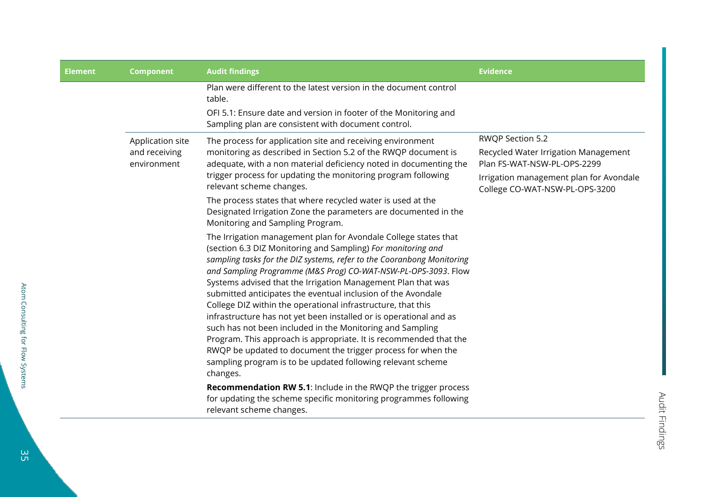| <b>Element</b> | <b>Component</b>                                 | <b>Audit findings</b>                                                                                                                                                                                                                                                                                                                                                                                                                                                                                                                                                                                                                                                                                                                                                                                                          | <b>Evidence</b>                                                                                                                                                      |
|----------------|--------------------------------------------------|--------------------------------------------------------------------------------------------------------------------------------------------------------------------------------------------------------------------------------------------------------------------------------------------------------------------------------------------------------------------------------------------------------------------------------------------------------------------------------------------------------------------------------------------------------------------------------------------------------------------------------------------------------------------------------------------------------------------------------------------------------------------------------------------------------------------------------|----------------------------------------------------------------------------------------------------------------------------------------------------------------------|
|                |                                                  | Plan were different to the latest version in the document control<br>table.                                                                                                                                                                                                                                                                                                                                                                                                                                                                                                                                                                                                                                                                                                                                                    |                                                                                                                                                                      |
|                |                                                  | OFI 5.1: Ensure date and version in footer of the Monitoring and<br>Sampling plan are consistent with document control.                                                                                                                                                                                                                                                                                                                                                                                                                                                                                                                                                                                                                                                                                                        |                                                                                                                                                                      |
|                | Application site<br>and receiving<br>environment | The process for application site and receiving environment<br>monitoring as described in Section 5.2 of the RWQP document is<br>adequate, with a non material deficiency noted in documenting the<br>trigger process for updating the monitoring program following<br>relevant scheme changes.                                                                                                                                                                                                                                                                                                                                                                                                                                                                                                                                 | RWQP Section 5.2<br>Recycled Water Irrigation Management<br>Plan FS-WAT-NSW-PL-OPS-2299<br>Irrigation management plan for Avondale<br>College CO-WAT-NSW-PL-OPS-3200 |
|                |                                                  | The process states that where recycled water is used at the<br>Designated Irrigation Zone the parameters are documented in the<br>Monitoring and Sampling Program.                                                                                                                                                                                                                                                                                                                                                                                                                                                                                                                                                                                                                                                             |                                                                                                                                                                      |
|                |                                                  | The Irrigation management plan for Avondale College states that<br>(section 6.3 DIZ Monitoring and Sampling) For monitoring and<br>sampling tasks for the DIZ systems, refer to the Cooranbong Monitoring<br>and Sampling Programme (M&S Prog) CO-WAT-NSW-PL-OPS-3093. Flow<br>Systems advised that the Irrigation Management Plan that was<br>submitted anticipates the eventual inclusion of the Avondale<br>College DIZ within the operational infrastructure, that this<br>infrastructure has not yet been installed or is operational and as<br>such has not been included in the Monitoring and Sampling<br>Program. This approach is appropriate. It is recommended that the<br>RWQP be updated to document the trigger process for when the<br>sampling program is to be updated following relevant scheme<br>changes. |                                                                                                                                                                      |
|                |                                                  | <b>Recommendation RW 5.1:</b> Include in the RWQP the trigger process<br>for updating the scheme specific monitoring programmes following<br>relevant scheme changes.                                                                                                                                                                                                                                                                                                                                                                                                                                                                                                                                                                                                                                                          |                                                                                                                                                                      |

Atom Consulting for Flow Systems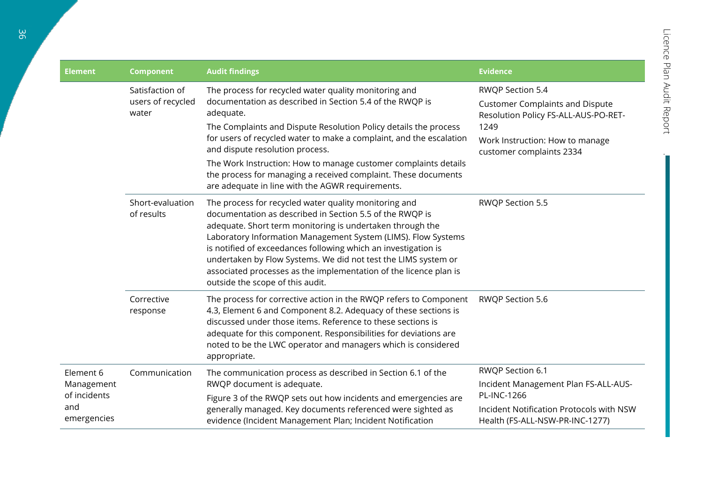| <b>Element</b>                                                | <b>Component</b>                              | <b>Audit findings</b>                                                                                                                                                                                                                                                                                                                                                                                                                                                                                 | <b>Evidence</b>                                                                                                                                                           |
|---------------------------------------------------------------|-----------------------------------------------|-------------------------------------------------------------------------------------------------------------------------------------------------------------------------------------------------------------------------------------------------------------------------------------------------------------------------------------------------------------------------------------------------------------------------------------------------------------------------------------------------------|---------------------------------------------------------------------------------------------------------------------------------------------------------------------------|
|                                                               | Satisfaction of<br>users of recycled<br>water | The process for recycled water quality monitoring and<br>documentation as described in Section 5.4 of the RWQP is<br>adequate.<br>The Complaints and Dispute Resolution Policy details the process<br>for users of recycled water to make a complaint, and the escalation<br>and dispute resolution process.<br>The Work Instruction: How to manage customer complaints details<br>the process for managing a received complaint. These documents<br>are adequate in line with the AGWR requirements. | RWQP Section 5.4<br><b>Customer Complaints and Dispute</b><br>Resolution Policy FS-ALL-AUS-PO-RET-<br>1249<br>Work Instruction: How to manage<br>customer complaints 2334 |
|                                                               | Short-evaluation<br>of results                | The process for recycled water quality monitoring and<br>documentation as described in Section 5.5 of the RWQP is<br>adequate. Short term monitoring is undertaken through the<br>Laboratory Information Management System (LIMS). Flow Systems<br>is notified of exceedances following which an investigation is<br>undertaken by Flow Systems. We did not test the LIMS system or<br>associated processes as the implementation of the licence plan is<br>outside the scope of this audit.          | RWQP Section 5.5                                                                                                                                                          |
|                                                               | Corrective<br>response                        | The process for corrective action in the RWQP refers to Component<br>4.3, Element 6 and Component 8.2. Adequacy of these sections is<br>discussed under those items. Reference to these sections is<br>adequate for this component. Responsibilities for deviations are<br>noted to be the LWC operator and managers which is considered<br>appropriate.                                                                                                                                              | RWQP Section 5.6                                                                                                                                                          |
| Element 6<br>Management<br>of incidents<br>and<br>emergencies | Communication                                 | The communication process as described in Section 6.1 of the                                                                                                                                                                                                                                                                                                                                                                                                                                          | RWQP Section 6.1                                                                                                                                                          |
|                                                               |                                               | RWQP document is adequate.                                                                                                                                                                                                                                                                                                                                                                                                                                                                            | Incident Management Plan FS-ALL-AUS-<br>PL-INC-1266                                                                                                                       |
|                                                               |                                               | Figure 3 of the RWQP sets out how incidents and emergencies are<br>generally managed. Key documents referenced were sighted as<br>evidence (Incident Management Plan; Incident Notification                                                                                                                                                                                                                                                                                                           | Incident Notification Protocols with NSW<br>Health (FS-ALL-NSW-PR-INC-1277)                                                                                               |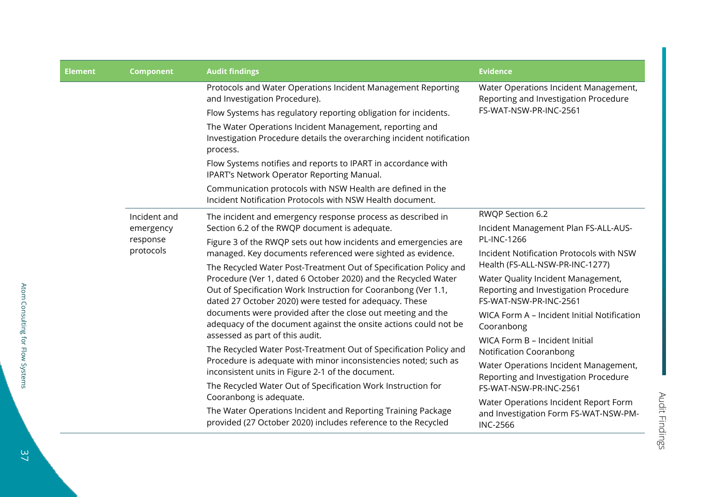| <b>Element</b> | <b>Component</b>                                   | <b>Audit findings</b>                                                                                                                                                                                                                                           | <b>Evidence</b>                                                                                          |
|----------------|----------------------------------------------------|-----------------------------------------------------------------------------------------------------------------------------------------------------------------------------------------------------------------------------------------------------------------|----------------------------------------------------------------------------------------------------------|
|                |                                                    | Protocols and Water Operations Incident Management Reporting<br>and Investigation Procedure).<br>Flow Systems has regulatory reporting obligation for incidents.                                                                                                | Water Operations Incident Management,<br>Reporting and Investigation Procedure<br>FS-WAT-NSW-PR-INC-2561 |
|                |                                                    | The Water Operations Incident Management, reporting and<br>Investigation Procedure details the overarching incident notification<br>process.                                                                                                                    |                                                                                                          |
|                |                                                    | Flow Systems notifies and reports to IPART in accordance with<br>IPART's Network Operator Reporting Manual.                                                                                                                                                     |                                                                                                          |
|                |                                                    | Communication protocols with NSW Health are defined in the<br>Incident Notification Protocols with NSW Health document.                                                                                                                                         |                                                                                                          |
|                | Incident and<br>emergency<br>response<br>protocols | The incident and emergency response process as described in<br>Section 6.2 of the RWQP document is adequate.                                                                                                                                                    | RWQP Section 6.2<br>Incident Management Plan FS-ALL-AUS-                                                 |
|                |                                                    | Figure 3 of the RWQP sets out how incidents and emergencies are<br>managed. Key documents referenced were sighted as evidence.                                                                                                                                  | PL-INC-1266<br>Incident Notification Protocols with NSW<br>Health (FS-ALL-NSW-PR-INC-1277)               |
|                |                                                    | The Recycled Water Post-Treatment Out of Specification Policy and<br>Procedure (Ver 1, dated 6 October 2020) and the Recycled Water<br>Out of Specification Work Instruction for Cooranbong (Ver 1.1,<br>dated 27 October 2020) were tested for adequacy. These | Water Quality Incident Management,<br>Reporting and Investigation Procedure<br>FS-WAT-NSW-PR-INC-2561    |
|                |                                                    | documents were provided after the close out meeting and the<br>adequacy of the document against the onsite actions could not be<br>assessed as part of this audit.                                                                                              | WICA Form A - Incident Initial Notification<br>Cooranbong                                                |
|                |                                                    | The Recycled Water Post-Treatment Out of Specification Policy and                                                                                                                                                                                               | WICA Form B - Incident Initial<br><b>Notification Cooranbong</b>                                         |
|                |                                                    | Procedure is adequate with minor inconsistencies noted; such as<br>inconsistent units in Figure 2-1 of the document.<br>The Recycled Water Out of Specification Work Instruction for                                                                            | Water Operations Incident Management,<br>Reporting and Investigation Procedure<br>FS-WAT-NSW-PR-INC-2561 |
|                |                                                    | Cooranbong is adequate.<br>The Water Operations Incident and Reporting Training Package<br>provided (27 October 2020) includes reference to the Recycled                                                                                                        | Water Operations Incident Report Form<br>and Investigation Form FS-WAT-NSW-PM-<br><b>INC-2566</b>        |

Atom Consulting for Flow Systems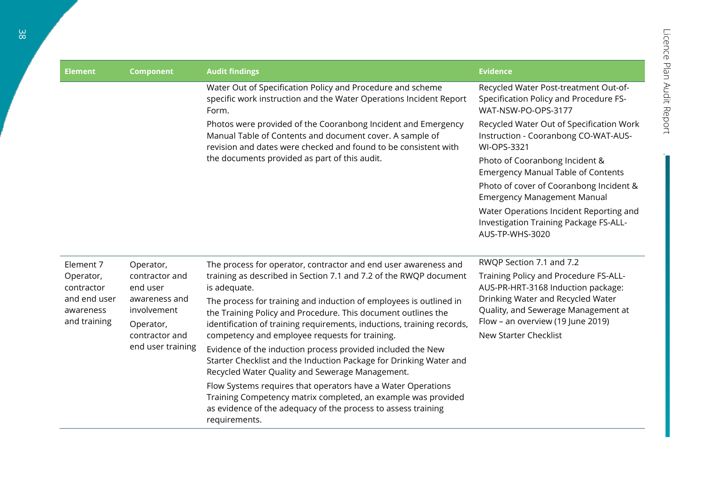| <b>Element</b>                            | <b>Component</b>                                                                                               | <b>Audit findings</b>                                                                                                                                                                                                                                           | <b>Evidence</b>                                                                                                                        |                                                                             |
|-------------------------------------------|----------------------------------------------------------------------------------------------------------------|-----------------------------------------------------------------------------------------------------------------------------------------------------------------------------------------------------------------------------------------------------------------|----------------------------------------------------------------------------------------------------------------------------------------|-----------------------------------------------------------------------------|
|                                           |                                                                                                                | Water Out of Specification Policy and Procedure and scheme<br>specific work instruction and the Water Operations Incident Report<br>Form.                                                                                                                       | Recycled Water Post-treatment Out-of-<br>Specification Policy and Procedure FS-<br>WAT-NSW-PO-OPS-3177                                 |                                                                             |
|                                           |                                                                                                                | Photos were provided of the Cooranbong Incident and Emergency<br>Manual Table of Contents and document cover. A sample of<br>revision and dates were checked and found to be consistent with                                                                    | Recycled Water Out of Specification Work<br>Instruction - Cooranbong CO-WAT-AUS-<br><b>WI-OPS-3321</b>                                 |                                                                             |
|                                           |                                                                                                                | the documents provided as part of this audit.                                                                                                                                                                                                                   | Photo of Cooranbong Incident &<br><b>Emergency Manual Table of Contents</b>                                                            |                                                                             |
|                                           |                                                                                                                |                                                                                                                                                                                                                                                                 | Photo of cover of Cooranbong Incident &<br><b>Emergency Management Manual</b>                                                          |                                                                             |
|                                           |                                                                                                                |                                                                                                                                                                                                                                                                 | Water Operations Incident Reporting and<br>Investigation Training Package FS-ALL-<br>AUS-TP-WHS-3020                                   |                                                                             |
| Element 7                                 | Operator,                                                                                                      | The process for operator, contractor and end user awareness and                                                                                                                                                                                                 | RWQP Section 7.1 and 7.2                                                                                                               |                                                                             |
| Operator,<br>contractor                   | contractor and<br>end user<br>awareness and<br>involvement<br>Operator,<br>contractor and<br>end user training | is adequate.                                                                                                                                                                                                                                                    | training as described in Section 7.1 and 7.2 of the RWQP document                                                                      | Training Policy and Procedure FS-ALL-<br>AUS-PR-HRT-3168 Induction package: |
| and end user<br>awareness<br>and training |                                                                                                                | The process for training and induction of employees is outlined in<br>the Training Policy and Procedure. This document outlines the<br>identification of training requirements, inductions, training records,<br>competency and employee requests for training. | Drinking Water and Recycled Water<br>Quality, and Sewerage Management at<br>Flow - an overview (19 June 2019)<br>New Starter Checklist |                                                                             |
|                                           |                                                                                                                | Evidence of the induction process provided included the New<br>Starter Checklist and the Induction Package for Drinking Water and<br>Recycled Water Quality and Sewerage Management.                                                                            |                                                                                                                                        |                                                                             |
|                                           |                                                                                                                | Flow Systems requires that operators have a Water Operations<br>Training Competency matrix completed, an example was provided<br>as evidence of the adequacy of the process to assess training<br>requirements.                                                 |                                                                                                                                        |                                                                             |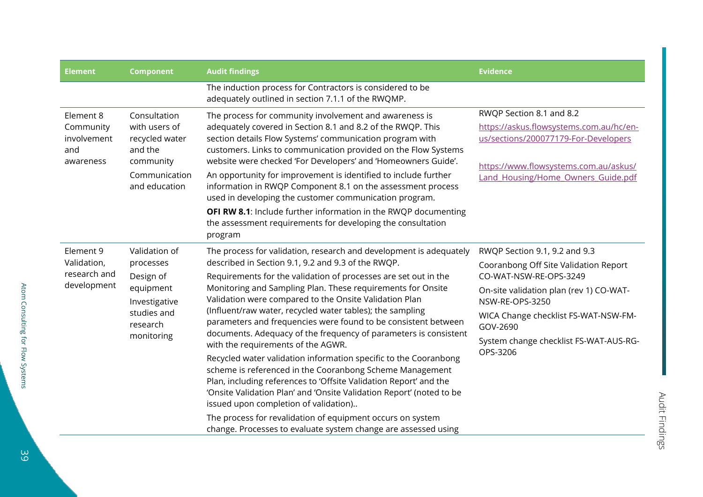| <b>Element</b>                                                                                                                                                         | <b>Component</b>                                                                                                                                                                                                                                                                                                                                                                                                                                                                                                 | <b>Audit findings</b>                                                                                                                                                                                                                                                                                                                                                                                                                                                                                                                                                                                                                                                                                                                                                                                                                                                                                                                                                                                               | <b>Evidence</b>                                                                                                                                                                                                                                                          |
|------------------------------------------------------------------------------------------------------------------------------------------------------------------------|------------------------------------------------------------------------------------------------------------------------------------------------------------------------------------------------------------------------------------------------------------------------------------------------------------------------------------------------------------------------------------------------------------------------------------------------------------------------------------------------------------------|---------------------------------------------------------------------------------------------------------------------------------------------------------------------------------------------------------------------------------------------------------------------------------------------------------------------------------------------------------------------------------------------------------------------------------------------------------------------------------------------------------------------------------------------------------------------------------------------------------------------------------------------------------------------------------------------------------------------------------------------------------------------------------------------------------------------------------------------------------------------------------------------------------------------------------------------------------------------------------------------------------------------|--------------------------------------------------------------------------------------------------------------------------------------------------------------------------------------------------------------------------------------------------------------------------|
|                                                                                                                                                                        |                                                                                                                                                                                                                                                                                                                                                                                                                                                                                                                  | The induction process for Contractors is considered to be<br>adequately outlined in section 7.1.1 of the RWQMP.                                                                                                                                                                                                                                                                                                                                                                                                                                                                                                                                                                                                                                                                                                                                                                                                                                                                                                     |                                                                                                                                                                                                                                                                          |
| Element 8<br>Consultation<br>with users of<br>Community<br>involvement<br>recycled water<br>and the<br>and<br>community<br>awareness<br>Communication<br>and education | The process for community involvement and awareness is<br>adequately covered in Section 8.1 and 8.2 of the RWQP. This<br>section details Flow Systems' communication program with<br>customers. Links to communication provided on the Flow Systems<br>website were checked 'For Developers' and 'Homeowners Guide'.<br>An opportunity for improvement is identified to include further<br>information in RWQP Component 8.1 on the assessment process<br>used in developing the customer communication program. | RWQP Section 8.1 and 8.2<br>https://askus.flowsystems.com.au/hc/en-<br>us/sections/200077179-For-Developers<br>https://www.flowsystems.com.au/askus/<br>Land Housing/Home Owners Guide.pdf                                                                                                                                                                                                                                                                                                                                                                                                                                                                                                                                                                                                                                                                                                                                                                                                                          |                                                                                                                                                                                                                                                                          |
|                                                                                                                                                                        |                                                                                                                                                                                                                                                                                                                                                                                                                                                                                                                  | OFI RW 8.1: Include further information in the RWQP documenting<br>the assessment requirements for developing the consultation<br>program                                                                                                                                                                                                                                                                                                                                                                                                                                                                                                                                                                                                                                                                                                                                                                                                                                                                           |                                                                                                                                                                                                                                                                          |
| Element 9<br>Validation,<br>research and<br>development                                                                                                                | Validation of<br>processes<br>Design of<br>equipment<br>Investigative<br>studies and<br>research<br>monitoring                                                                                                                                                                                                                                                                                                                                                                                                   | The process for validation, research and development is adequately<br>described in Section 9.1, 9.2 and 9.3 of the RWQP.<br>Requirements for the validation of processes are set out in the<br>Monitoring and Sampling Plan. These requirements for Onsite<br>Validation were compared to the Onsite Validation Plan<br>(Influent/raw water, recycled water tables); the sampling<br>parameters and frequencies were found to be consistent between<br>documents. Adequacy of the frequency of parameters is consistent<br>with the requirements of the AGWR.<br>Recycled water validation information specific to the Cooranbong<br>scheme is referenced in the Cooranbong Scheme Management<br>Plan, including references to 'Offsite Validation Report' and the<br>'Onsite Validation Plan' and 'Onsite Validation Report' (noted to be<br>issued upon completion of validation)<br>The process for revalidation of equipment occurs on system<br>change. Processes to evaluate system change are assessed using | RWQP Section 9.1, 9.2 and 9.3<br>Cooranbong Off Site Validation Report<br>CO-WAT-NSW-RE-OPS-3249<br>On-site validation plan (rev 1) CO-WAT-<br>NSW-RE-OPS-3250<br>WICA Change checklist FS-WAT-NSW-FM-<br>GOV-2690<br>System change checklist FS-WAT-AUS-RG-<br>OPS-3206 |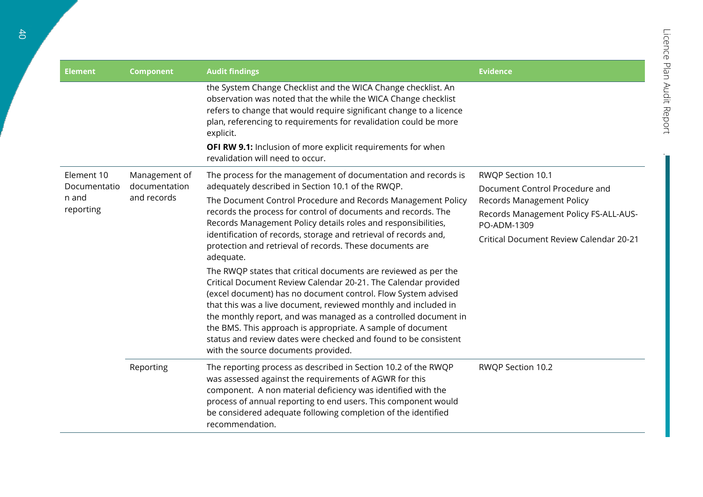| <b>Element</b>                                   | <b>Component</b>                              | <b>Audit findings</b>                                                                                                                                                                                                                                                                                                                                                                                                                                                                                                                                                                                                                                                                                                                                                                                                                                                                                                                                                                   | <b>Evidence</b>                                                                                                                                                                                          |
|--------------------------------------------------|-----------------------------------------------|-----------------------------------------------------------------------------------------------------------------------------------------------------------------------------------------------------------------------------------------------------------------------------------------------------------------------------------------------------------------------------------------------------------------------------------------------------------------------------------------------------------------------------------------------------------------------------------------------------------------------------------------------------------------------------------------------------------------------------------------------------------------------------------------------------------------------------------------------------------------------------------------------------------------------------------------------------------------------------------------|----------------------------------------------------------------------------------------------------------------------------------------------------------------------------------------------------------|
|                                                  |                                               | the System Change Checklist and the WICA Change checklist. An<br>observation was noted that the while the WICA Change checklist<br>refers to change that would require significant change to a licence<br>plan, referencing to requirements for revalidation could be more<br>explicit.<br>OFI RW 9.1: Inclusion of more explicit requirements for when<br>revalidation will need to occur.                                                                                                                                                                                                                                                                                                                                                                                                                                                                                                                                                                                             |                                                                                                                                                                                                          |
| Element 10<br>Documentatio<br>n and<br>reporting | Management of<br>documentation<br>and records | The process for the management of documentation and records is<br>adequately described in Section 10.1 of the RWQP.<br>The Document Control Procedure and Records Management Policy<br>records the process for control of documents and records. The<br>Records Management Policy details roles and responsibilities,<br>identification of records, storage and retrieval of records and,<br>protection and retrieval of records. These documents are<br>adequate.<br>The RWQP states that critical documents are reviewed as per the<br>Critical Document Review Calendar 20-21. The Calendar provided<br>(excel document) has no document control. Flow System advised<br>that this was a live document, reviewed monthly and included in<br>the monthly report, and was managed as a controlled document in<br>the BMS. This approach is appropriate. A sample of document<br>status and review dates were checked and found to be consistent<br>with the source documents provided. | <b>RWQP Section 10.1</b><br>Document Control Procedure and<br><b>Records Management Policy</b><br>Records Management Policy FS-ALL-AUS-<br>PO-ADM-1309<br><b>Critical Document Review Calendar 20-21</b> |
|                                                  | Reporting                                     | The reporting process as described in Section 10.2 of the RWQP<br>was assessed against the requirements of AGWR for this<br>component. A non material deficiency was identified with the<br>process of annual reporting to end users. This component would<br>be considered adequate following completion of the identified<br>recommendation.                                                                                                                                                                                                                                                                                                                                                                                                                                                                                                                                                                                                                                          | RWQP Section 10.2                                                                                                                                                                                        |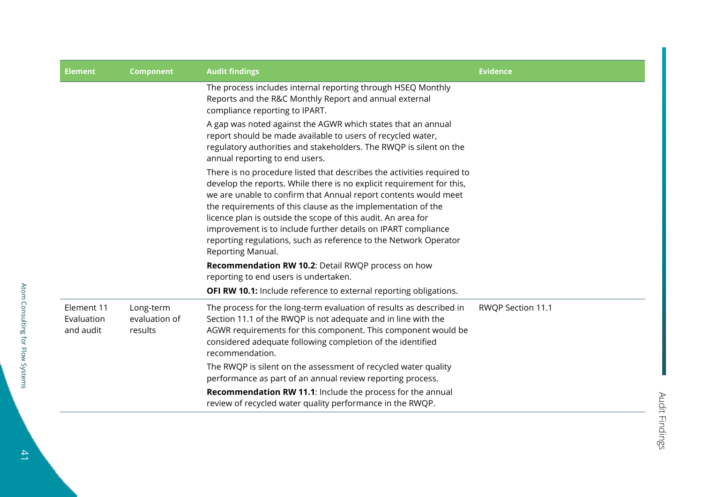| <b>Element</b>                        | <b>Component</b>                      | <b>Audit findings</b>                                                                                                                                                                                                                                                                                                                                                                                                                                                                                        | <b>Evidence</b>   |
|---------------------------------------|---------------------------------------|--------------------------------------------------------------------------------------------------------------------------------------------------------------------------------------------------------------------------------------------------------------------------------------------------------------------------------------------------------------------------------------------------------------------------------------------------------------------------------------------------------------|-------------------|
|                                       |                                       | The process includes internal reporting through HSEQ Monthly<br>Reports and the R&C Monthly Report and annual external<br>compliance reporting to IPART.                                                                                                                                                                                                                                                                                                                                                     |                   |
|                                       |                                       | A gap was noted against the AGWR which states that an annual<br>report should be made available to users of recycled water,<br>regulatory authorities and stakeholders. The RWQP is silent on the<br>annual reporting to end users.                                                                                                                                                                                                                                                                          |                   |
|                                       |                                       | There is no procedure listed that describes the activities required to<br>develop the reports. While there is no explicit requirement for this,<br>we are unable to confirm that Annual report contents would meet<br>the requirements of this clause as the implementation of the<br>licence plan is outside the scope of this audit. An area for<br>improvement is to include further details on IPART compliance<br>reporting regulations, such as reference to the Network Operator<br>Reporting Manual. |                   |
|                                       |                                       | Recommendation RW 10.2: Detail RWQP process on how<br>reporting to end users is undertaken.                                                                                                                                                                                                                                                                                                                                                                                                                  |                   |
|                                       |                                       | OFI RW 10.1: Include reference to external reporting obligations.                                                                                                                                                                                                                                                                                                                                                                                                                                            |                   |
| Element 11<br>Evaluation<br>and audit | Long-term<br>evaluation of<br>results | The process for the long-term evaluation of results as described in<br>Section 11.1 of the RWQP is not adequate and in line with the<br>AGWR requirements for this component. This component would be<br>considered adequate following completion of the identified<br>recommendation.                                                                                                                                                                                                                       | RWQP Section 11.1 |
|                                       |                                       | The RWQP is silent on the assessment of recycled water quality<br>performance as part of an annual review reporting process.                                                                                                                                                                                                                                                                                                                                                                                 |                   |
|                                       |                                       | <b>Recommendation RW 11.1:</b> Include the process for the annual<br>review of recycled water quality performance in the RWQP.                                                                                                                                                                                                                                                                                                                                                                               |                   |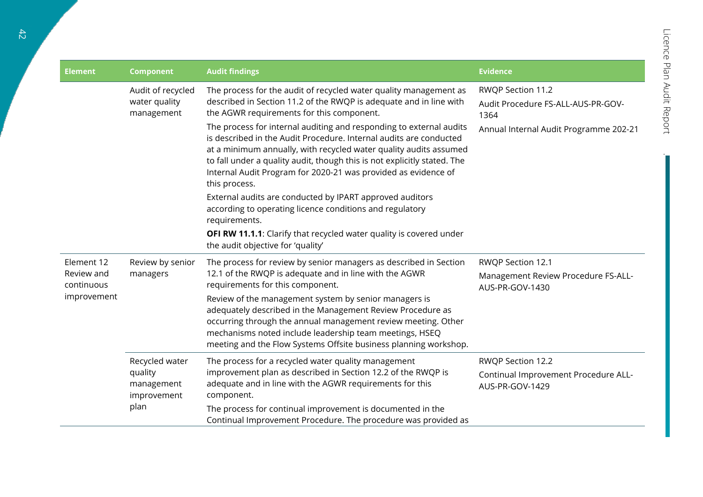| <b>Element</b>                                        | <b>Component</b>                                               | <b>Audit findings</b>                                                                                                                                                                                                                                                                                                                                                                                                                                                                                                                                                                                                                                                                         | <b>Evidence</b>                                                                                           |
|-------------------------------------------------------|----------------------------------------------------------------|-----------------------------------------------------------------------------------------------------------------------------------------------------------------------------------------------------------------------------------------------------------------------------------------------------------------------------------------------------------------------------------------------------------------------------------------------------------------------------------------------------------------------------------------------------------------------------------------------------------------------------------------------------------------------------------------------|-----------------------------------------------------------------------------------------------------------|
|                                                       | Audit of recycled<br>water quality<br>management               | The process for the audit of recycled water quality management as<br>described in Section 11.2 of the RWQP is adequate and in line with<br>the AGWR requirements for this component.<br>The process for internal auditing and responding to external audits<br>is described in the Audit Procedure. Internal audits are conducted<br>at a minimum annually, with recycled water quality audits assumed<br>to fall under a quality audit, though this is not explicitly stated. The<br>Internal Audit Program for 2020-21 was provided as evidence of<br>this process.<br>External audits are conducted by IPART approved auditors<br>according to operating licence conditions and regulatory | RWQP Section 11.2<br>Audit Procedure FS-ALL-AUS-PR-GOV-<br>1364<br>Annual Internal Audit Programme 202-21 |
|                                                       |                                                                | requirements.<br>OFI RW 11.1.1: Clarify that recycled water quality is covered under<br>the audit objective for 'quality'                                                                                                                                                                                                                                                                                                                                                                                                                                                                                                                                                                     |                                                                                                           |
| Element 12<br>Review and<br>continuous<br>improvement | Review by senior<br>managers                                   | The process for review by senior managers as described in Section<br>12.1 of the RWQP is adequate and in line with the AGWR<br>requirements for this component.<br>Review of the management system by senior managers is<br>adequately described in the Management Review Procedure as<br>occurring through the annual management review meeting. Other<br>mechanisms noted include leadership team meetings, HSEQ                                                                                                                                                                                                                                                                            | RWQP Section 12.1<br>Management Review Procedure FS-ALL-<br>AUS-PR-GOV-1430                               |
|                                                       | Recycled water<br>quality<br>management<br>improvement<br>plan | meeting and the Flow Systems Offsite business planning workshop.<br>The process for a recycled water quality management<br>improvement plan as described in Section 12.2 of the RWQP is<br>adequate and in line with the AGWR requirements for this<br>component.<br>The process for continual improvement is documented in the<br>Continual Improvement Procedure. The procedure was provided as                                                                                                                                                                                                                                                                                             | RWQP Section 12.2<br>Continual Improvement Procedure ALL-<br>AUS-PR-GOV-1429                              |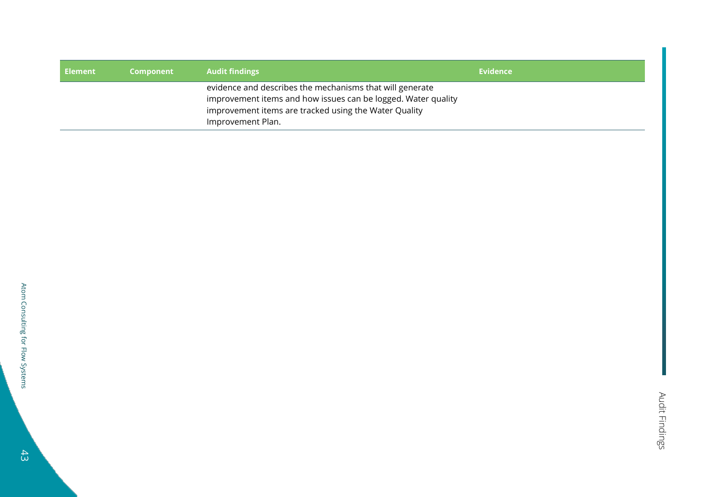| Element | Component | <b>Audit findings</b>                                                                                                                                                                                   | <b>Evidence</b> |
|---------|-----------|---------------------------------------------------------------------------------------------------------------------------------------------------------------------------------------------------------|-----------------|
|         |           | evidence and describes the mechanisms that will generate<br>improvement items and how issues can be logged. Water quality<br>improvement items are tracked using the Water Quality<br>Improvement Plan. |                 |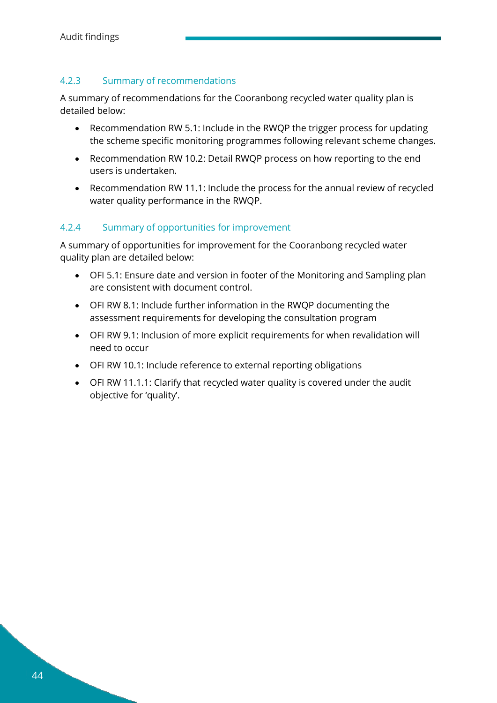#### <span id="page-43-0"></span>4.2.3 Summary of recommendations

A summary of recommendations for the Cooranbong recycled water quality plan is detailed below:

- Recommendation RW 5.1: Include in the RWQP the trigger process for updating the scheme specific monitoring programmes following relevant scheme changes.
- Recommendation RW 10.2: Detail RWQP process on how reporting to the end users is undertaken.
- Recommendation RW 11.1: Include the process for the annual review of recycled water quality performance in the RWQP.

#### <span id="page-43-1"></span>4.2.4 Summary of opportunities for improvement

A summary of opportunities for improvement for the Cooranbong recycled water quality plan are detailed below:

- OFI 5.1: Ensure date and version in footer of the Monitoring and Sampling plan are consistent with document control.
- OFI RW 8.1: Include further information in the RWQP documenting the assessment requirements for developing the consultation program
- OFI RW 9.1: Inclusion of more explicit requirements for when revalidation will need to occur
- OFI RW 10.1: Include reference to external reporting obligations
- OFI RW 11.1.1: Clarify that recycled water quality is covered under the audit objective for 'quality'.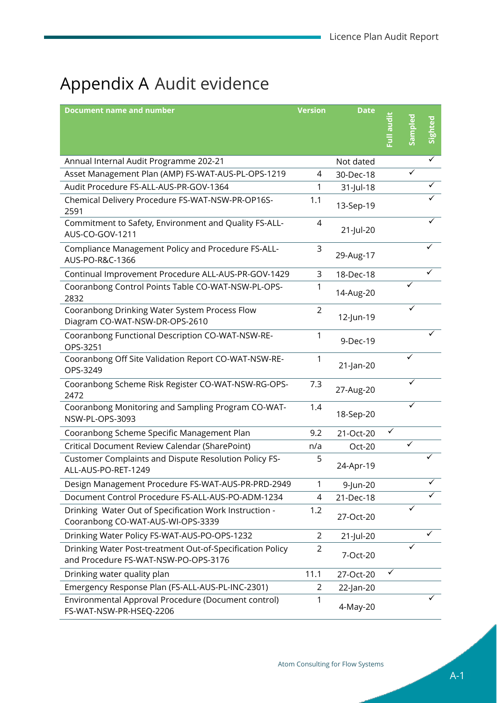## <span id="page-44-1"></span><span id="page-44-0"></span>Appendix A Audit evidence

| <b>Document name and number</b>                                                                   | <b>Version</b> | <b>Date</b> |           |              |         |
|---------------------------------------------------------------------------------------------------|----------------|-------------|-----------|--------------|---------|
|                                                                                                   |                |             | ibne IIn: |              | Sighted |
|                                                                                                   |                |             |           |              |         |
| Annual Internal Audit Programme 202-21                                                            |                | Not dated   |           |              | ✓       |
| Asset Management Plan (AMP) FS-WAT-AUS-PL-OPS-1219                                                | 4              | 30-Dec-18   |           |              |         |
| Audit Procedure FS-ALL-AUS-PR-GOV-1364                                                            | 1              | 31-Jul-18   |           |              |         |
| Chemical Delivery Procedure FS-WAT-NSW-PR-OP16S-<br>2591                                          | 1.1            | 13-Sep-19   |           |              |         |
| Commitment to Safety, Environment and Quality FS-ALL-<br>AUS-CO-GOV-1211                          | 4              | 21-Jul-20   |           |              |         |
| Compliance Management Policy and Procedure FS-ALL-<br>AUS-PO-R&C-1366                             | 3              | 29-Aug-17   |           |              |         |
| Continual Improvement Procedure ALL-AUS-PR-GOV-1429                                               | 3              | 18-Dec-18   |           |              |         |
| Cooranbong Control Points Table CO-WAT-NSW-PL-OPS-<br>2832                                        | 1              | 14-Aug-20   |           |              |         |
| Cooranbong Drinking Water System Process Flow<br>Diagram CO-WAT-NSW-DR-OPS-2610                   | $\overline{2}$ | 12-Jun-19   |           |              |         |
| Cooranbong Functional Description CO-WAT-NSW-RE-<br>OPS-3251                                      | 1              | 9-Dec-19    |           |              |         |
| Cooranbong Off Site Validation Report CO-WAT-NSW-RE-<br>OPS-3249                                  | 1              | 21-Jan-20   |           | ✓            |         |
| Cooranbong Scheme Risk Register CO-WAT-NSW-RG-OPS-<br>2472                                        | 7.3            | 27-Aug-20   |           |              |         |
| Cooranbong Monitoring and Sampling Program CO-WAT-<br>NSW-PL-OPS-3093                             | 1.4            | 18-Sep-20   |           |              |         |
| Cooranbong Scheme Specific Management Plan                                                        | 9.2            | 21-Oct-20   |           |              |         |
| Critical Document Review Calendar (SharePoint)                                                    | n/a            | Oct-20      |           | $\checkmark$ |         |
| Customer Complaints and Dispute Resolution Policy FS-<br>ALL-AUS-PO-RET-1249                      | 5              | 24-Apr-19   |           |              |         |
| Design Management Procedure FS-WAT-AUS-PR-PRD-2949                                                | 1              | 9-Jun-20    |           |              | ✓       |
| Document Control Procedure FS-ALL-AUS-PO-ADM-1234                                                 | 4              | 21-Dec-18   |           |              |         |
| Drinking Water Out of Specification Work Instruction -<br>Cooranbong CO-WAT-AUS-WI-OPS-3339       | 1.2            | 27-Oct-20   |           |              |         |
| Drinking Water Policy FS-WAT-AUS-PO-OPS-1232                                                      | 2              | 21-Jul-20   |           |              | ✓       |
| Drinking Water Post-treatment Out-of-Specification Policy<br>and Procedure FS-WAT-NSW-PO-OPS-3176 | 2              | 7-Oct-20    |           | ✓            |         |
| Drinking water quality plan                                                                       | 11.1           | 27-Oct-20   | ✓         |              |         |
| Emergency Response Plan (FS-ALL-AUS-PL-INC-2301)                                                  | $\overline{2}$ | 22-Jan-20   |           |              |         |
| Environmental Approval Procedure (Document control)<br>FS-WAT-NSW-PR-HSEQ-2206                    | 1              | 4-May-20    |           |              |         |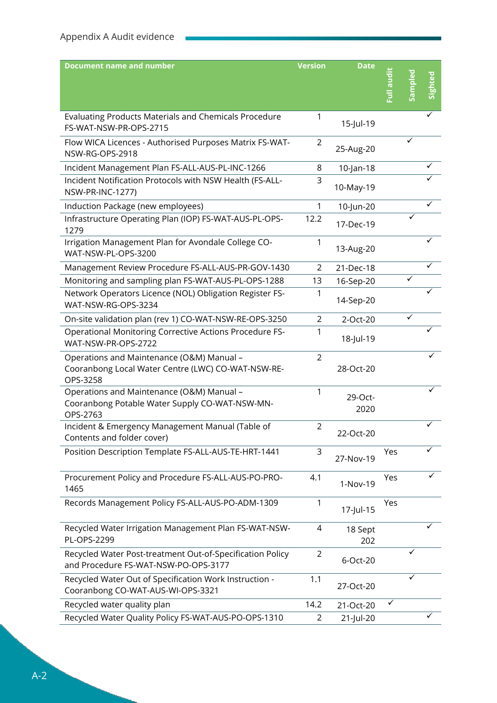| <b>Document name and number</b>                                                                             | <b>Version</b> | <b>Date</b>     |           |       |         |
|-------------------------------------------------------------------------------------------------------------|----------------|-----------------|-----------|-------|---------|
|                                                                                                             |                |                 | ibne IIn: | mplec | Sighted |
|                                                                                                             |                |                 |           |       |         |
| Evaluating Products Materials and Chemicals Procedure<br>FS-WAT-NSW-PR-OPS-2715                             | 1              | 15-Jul-19       |           |       |         |
| Flow WICA Licences - Authorised Purposes Matrix FS-WAT-<br>NSW-RG-OPS-2918                                  | 2              | 25-Aug-20       |           |       |         |
| Incident Management Plan FS-ALL-AUS-PL-INC-1266                                                             | 8              | $10$ -Jan-18    |           |       |         |
| Incident Notification Protocols with NSW Health (FS-ALL-<br><b>NSW-PR-INC-1277)</b>                         | 3              | 10-May-19       |           |       |         |
| Induction Package (new employees)                                                                           | 1              | 10-Jun-20       |           |       |         |
| Infrastructure Operating Plan (IOP) FS-WAT-AUS-PL-OPS-<br>1279                                              | 12.2           | 17-Dec-19       |           |       |         |
| Irrigation Management Plan for Avondale College CO-<br>WAT-NSW-PL-OPS-3200                                  | 1              | 13-Aug-20       |           |       |         |
| Management Review Procedure FS-ALL-AUS-PR-GOV-1430                                                          | 2              | 21-Dec-18       |           |       |         |
| Monitoring and sampling plan FS-WAT-AUS-PL-OPS-1288                                                         | 13             | 16-Sep-20       |           |       |         |
| Network Operators Licence (NOL) Obligation Register FS-<br>WAT-NSW-RG-OPS-3234                              |                | 14-Sep-20       |           |       |         |
| On-site validation plan (rev 1) CO-WAT-NSW-RE-OPS-3250                                                      | $\overline{2}$ | 2-Oct-20        |           | ✓     |         |
| <b>Operational Monitoring Corrective Actions Procedure FS-</b><br>WAT-NSW-PR-OPS-2722                       | 1              | 18-Jul-19       |           |       |         |
| Operations and Maintenance (O&M) Manual -<br>Cooranbong Local Water Centre (LWC) CO-WAT-NSW-RE-<br>OPS-3258 | $\overline{2}$ | 28-Oct-20       |           |       |         |
| Operations and Maintenance (O&M) Manual -<br>Cooranbong Potable Water Supply CO-WAT-NSW-MN-<br>OPS-2763     | 1              | 29-Oct-<br>2020 |           |       |         |
| Incident & Emergency Management Manual (Table of<br>Contents and folder cover)                              | 2              | 22-Oct-20       |           |       |         |
| Position Description Template FS-ALL-AUS-TE-HRT-1441                                                        | 3              | 27-Nov-19       | Yes       |       |         |
| Procurement Policy and Procedure FS-ALL-AUS-PO-PRO-<br>1465                                                 | 4.1            | 1-Nov-19        | Yes       |       |         |
| Records Management Policy FS-ALL-AUS-PO-ADM-1309                                                            | 1              | 17-Jul-15       | Yes       |       |         |
| Recycled Water Irrigation Management Plan FS-WAT-NSW-<br>PL-OPS-2299                                        | 4              | 18 Sept<br>202  |           |       |         |
| Recycled Water Post-treatment Out-of-Specification Policy<br>and Procedure FS-WAT-NSW-PO-OPS-3177           | $\overline{2}$ | 6-Oct-20        |           |       |         |
| Recycled Water Out of Specification Work Instruction -<br>Cooranbong CO-WAT-AUS-WI-OPS-3321                 | 1.1            | 27-Oct-20       |           | ✓     |         |
| Recycled water quality plan                                                                                 | 14.2           | 21-Oct-20       | ✓         |       |         |
| Recycled Water Quality Policy FS-WAT-AUS-PO-OPS-1310                                                        | $\overline{2}$ | 21-Jul-20       |           |       | ✓       |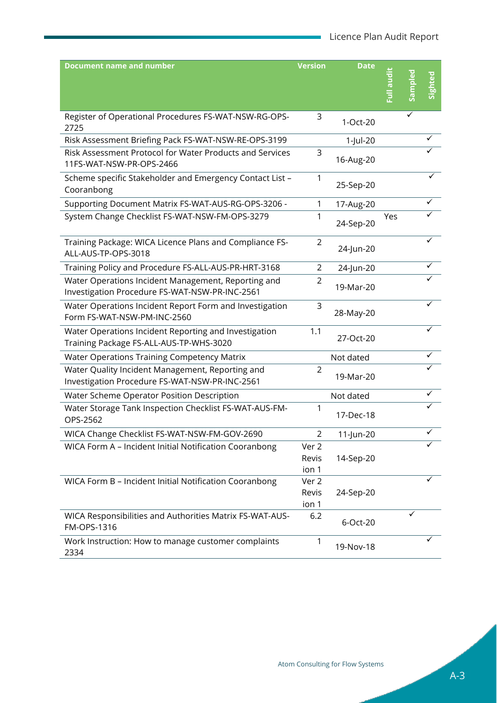| <b>Document name and number</b>                                                                       | <b>Version</b>          | <b>Date</b> | ibua Ilu <sup>:</sup> | Ĕ | Sighted |
|-------------------------------------------------------------------------------------------------------|-------------------------|-------------|-----------------------|---|---------|
| Register of Operational Procedures FS-WAT-NSW-RG-OPS-<br>2725                                         | 3                       | 1-Oct-20    |                       | ✓ |         |
| Risk Assessment Briefing Pack FS-WAT-NSW-RE-OPS-3199                                                  |                         | 1-Jul-20    |                       |   |         |
| Risk Assessment Protocol for Water Products and Services<br>11FS-WAT-NSW-PR-OPS-2466                  | 3                       | 16-Aug-20   |                       |   |         |
| Scheme specific Stakeholder and Emergency Contact List -<br>Cooranbong                                | 1                       | 25-Sep-20   |                       |   |         |
| Supporting Document Matrix FS-WAT-AUS-RG-OPS-3206 -                                                   | 1                       | 17-Aug-20   |                       |   |         |
| System Change Checklist FS-WAT-NSW-FM-OPS-3279                                                        | 1                       | 24-Sep-20   | Yes                   |   |         |
| Training Package: WICA Licence Plans and Compliance FS-<br>ALL-AUS-TP-OPS-3018                        | $\overline{2}$          | 24-Jun-20   |                       |   |         |
| Training Policy and Procedure FS-ALL-AUS-PR-HRT-3168                                                  | 2                       | 24-Jun-20   |                       |   |         |
| Water Operations Incident Management, Reporting and<br>Investigation Procedure FS-WAT-NSW-PR-INC-2561 | 2                       | 19-Mar-20   |                       |   |         |
| Water Operations Incident Report Form and Investigation<br>Form FS-WAT-NSW-PM-INC-2560                | 3                       | 28-May-20   |                       |   |         |
| Water Operations Incident Reporting and Investigation<br>Training Package FS-ALL-AUS-TP-WHS-3020      | 1.1                     | 27-Oct-20   |                       |   |         |
| Water Operations Training Competency Matrix                                                           |                         | Not dated   |                       |   |         |
| Water Quality Incident Management, Reporting and<br>Investigation Procedure FS-WAT-NSW-PR-INC-2561    | 2                       | 19-Mar-20   |                       |   |         |
| Water Scheme Operator Position Description                                                            |                         | Not dated   |                       |   |         |
| Water Storage Tank Inspection Checklist FS-WAT-AUS-FM-<br>OPS-2562                                    | 1                       | 17-Dec-18   |                       |   | ✓       |
| WICA Change Checklist FS-WAT-NSW-FM-GOV-2690                                                          | $\overline{2}$          | 11-Jun-20   |                       |   |         |
| WICA Form A - Incident Initial Notification Cooranbong                                                | Ver 2<br>Revis<br>ion 1 | 14-Sep-20   |                       |   |         |
| WICA Form B - Incident Initial Notification Cooranbong                                                | Ver 2<br>Revis<br>ion 1 | 24-Sep-20   |                       |   |         |
| WICA Responsibilities and Authorities Matrix FS-WAT-AUS-<br>FM-OPS-1316                               | 6.2                     | 6-Oct-20    |                       |   |         |
| Work Instruction: How to manage customer complaints<br>2334                                           | 1                       | 19-Nov-18   |                       |   |         |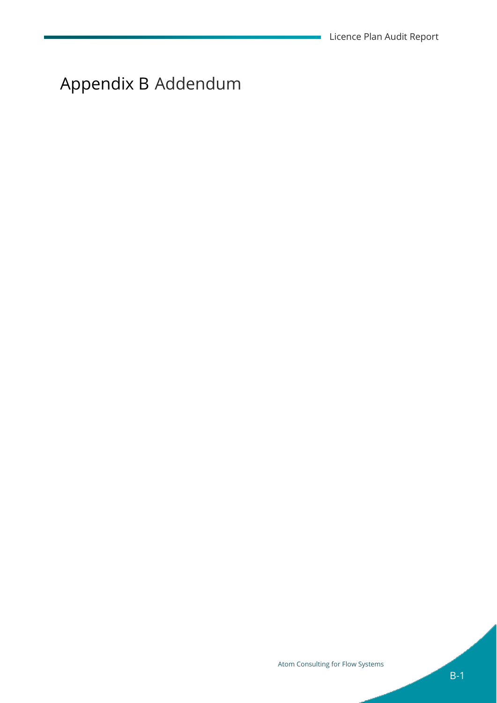<span id="page-47-0"></span>Appendix B Addendum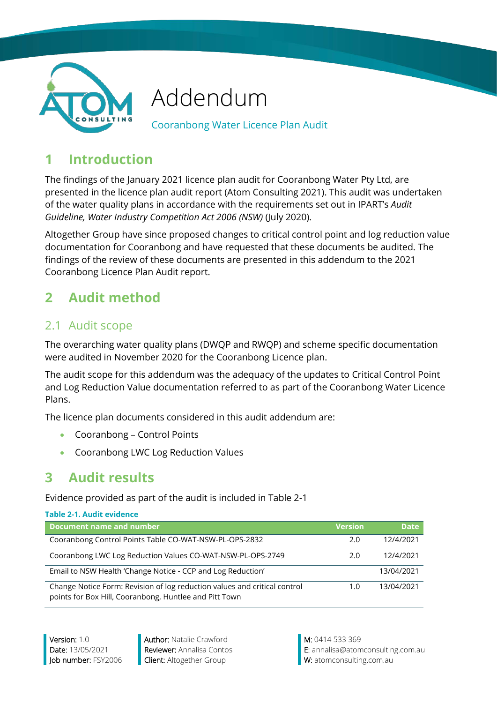

## Addendum

Cooranbong Water Licence Plan Audit

## **1 Introduction**

The findings of the January 2021 licence plan audit for Cooranbong Water Pty Ltd, are presented in the licence plan audit report (Atom Consulting 2021). This audit was undertaken of the water quality plans in accordance with the requirements set out in IPART's *Audit Guideline, Water Industry Competition Act 2006 (NSW)* (July 2020).

Altogether Group have since proposed changes to critical control point and log reduction value documentation for Cooranbong and have requested that these documents be audited. The findings of the review of these documents are presented in this addendum to the 2021 Cooranbong Licence Plan Audit report.

## **2 Audit method**

## 2.1 Audit scope

The overarching water quality plans (DWQP and RWQP) and scheme specific documentation were audited in November 2020 for the Cooranbong Licence plan.

The audit scope for this addendum was the adequacy of the updates to Critical Control Point and Log Reduction Value documentation referred to as part of the Cooranbong Water Licence Plans.

The licence plan documents considered in this audit addendum are:

- Cooranbong Control Points
- Cooranbong LWC Log Reduction Values

## **3 Audit results**

Evidence provided as part of the audit is included in [Table 2-1](#page-48-0)

<span id="page-48-0"></span>

| Table 2-1. Audit evidence                                                                                                           |                |             |
|-------------------------------------------------------------------------------------------------------------------------------------|----------------|-------------|
| Document name and number                                                                                                            | <b>Version</b> | <b>Date</b> |
| Cooranbong Control Points Table CO-WAT-NSW-PL-OPS-2832                                                                              | 2.0            | 12/4/2021   |
| Cooranbong LWC Log Reduction Values CO-WAT-NSW-PL-OPS-2749                                                                          | 2.0            | 12/4/2021   |
| Email to NSW Health 'Change Notice - CCP and Log Reduction'                                                                         |                | 13/04/2021  |
| Change Notice Form: Revision of log reduction values and critical control<br>points for Box Hill, Cooranbong, Huntlee and Pitt Town | 1.0            | 13/04/2021  |

Version: 1.0 **Author:** Natalie Crawford **M: 0414 533 369** 

Date: 13/05/2021 **Reviewer:** Annalisa Contos **E:** annalisa@atomconsulting.com.au Job number: FSY2006 Client: Altogether Group W: atomconsulting.com.au